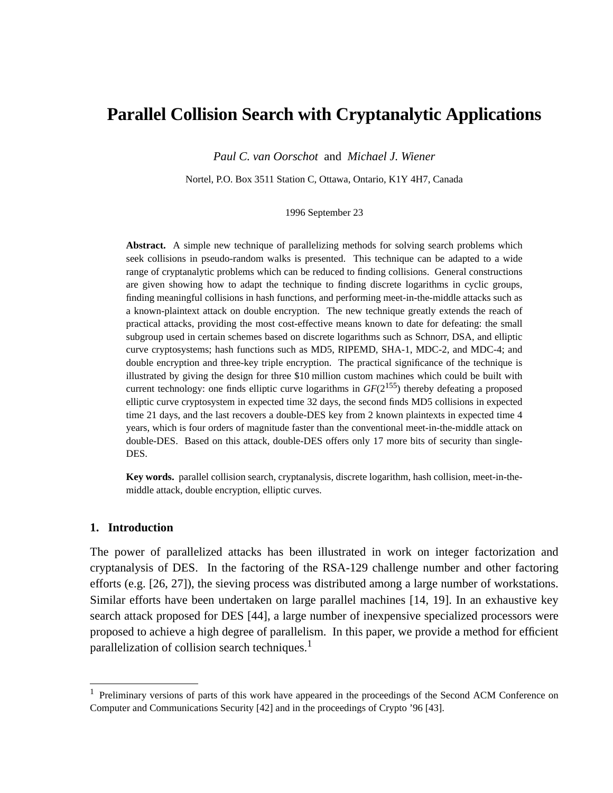# **Parallel Collision Search with Cryptanalytic Applications**

*Paul C. van Oorschot* and *Michael J. Wiener*

Nortel, P.O. Box 3511 Station C, Ottawa, Ontario, K1Y 4H7, Canada

#### 1996 September 23

Abstract. A simple new technique of parallelizing methods for solving search problems which seek collisions in pseudo-random walks is presented. This technique can be adapted to a wide range of cryptanalytic problems which can be reduced to finding collisions. General constructions are given showing how to adapt the technique to finding discrete logarithms in cyclic groups, finding meaningful collisions in hash functions, and performing meet-in-the-middle attacks such as a known-plaintext attack on double encryption. The new technique greatly extends the reach of practical attacks, providing the most cost-effective means known to date for defeating: the small subgroup used in certain schemes based on discrete logarithms such as Schnorr, DSA, and elliptic curve cryptosystems; hash functions such as MD5, RIPEMD, SHA-1, MDC-2, and MDC-4; and double encryption and three-key triple encryption. The practical significance of the technique is illustrated by giving the design for three \$10 million custom machines which could be built with current technology: one finds elliptic curve logarithms in  $GF(2^{155})$  thereby defeating a proposed elliptic curve cryptosystem in expected time 32 days, the second finds MD5 collisions in expected time 21 days, and the last recovers a double-DES key from 2 known plaintexts in expected time 4 years, which is four orders of magnitude faster than the conventional meet-in-the-middle attack on double-DES. Based on this attack, double-DES offers only 17 more bits of security than single-DES.

**Key words.** parallel collision search, cryptanalysis, discrete logarithm, hash collision, meet-in-themiddle attack, double encryption, elliptic curves.

#### **1. Introduction**

The power of parallelized attacks has been illustrated in work on integer factorization and cryptanalysis of DES. In the factoring of the RSA-129 challenge number and other factoring efforts (e.g. [26, 27]), the sieving process was distributed among a large number of workstations. Similar efforts have been undertaken on large parallel machines [14, 19]. In an exhaustive key search attack proposed for DES [44], a large number of inexpensive specialized processors were proposed to achieve a high degree of parallelism. In this paper, we provide a method for efficient parallelization of collision search techniques.<sup>1</sup>

<sup>&</sup>lt;sup>1</sup> Preliminary versions of parts of this work have appeared in the proceedings of the Second ACM Conference on Computer and Communications Security [42] and in the proceedings of Crypto '96 [43].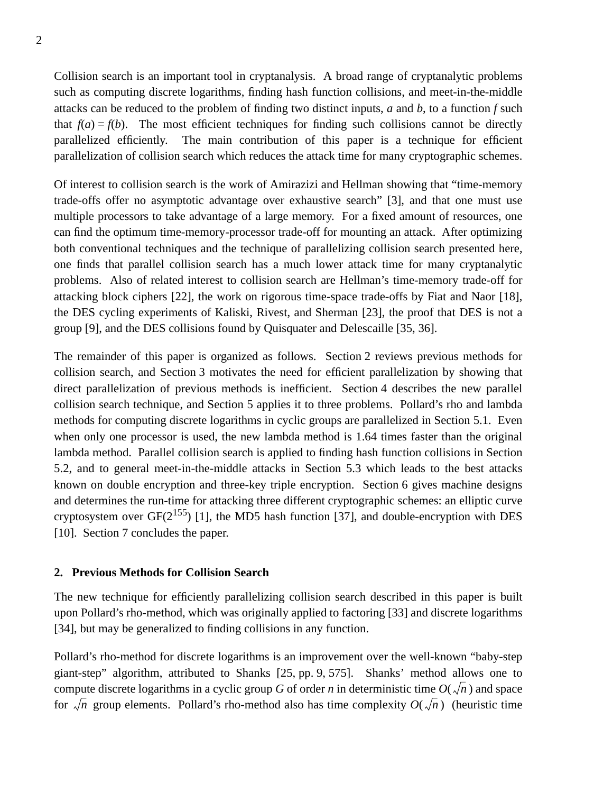Collision search is an important tool in cryptanalysis. A broad range of cryptanalytic problems such as computing discrete logarithms, finding hash function collisions, and meet-in-the-middle attacks can be reduced to the problem of finding two distinct inputs, *a* and *b*, to a function *f* such that  $f(a) = f(b)$ . The most efficient techniques for finding such collisions cannot be directly parallelized efficiently. The main contribution of this paper is a technique for efficient parallelization of collision search which reduces the attack time for many cryptographic schemes.

Of interest to collision search is the work of Amirazizi and Hellman showing that "time-memory trade-offs offer no asymptotic advantage over exhaustive search" [3], and that one must use multiple processors to take advantage of a large memory. For a fixed amount of resources, one can find the optimum time-memory-processor trade-off for mounting an attack. After optimizing both conventional techniques and the technique of parallelizing collision search presented here, one finds that parallel collision search has a much lower attack time for many cryptanalytic problems. Also of related interest to collision search are Hellman's time-memory trade-off for attacking block ciphers [22], the work on rigorous time-space trade-offs by Fiat and Naor [18], the DES cycling experiments of Kaliski, Rivest, and Sherman [23], the proof that DES is not a group [9], and the DES collisions found by Quisquater and Delescaille [35, 36].

The remainder of this paper is organized as follows. Section 2 reviews previous methods for collision search, and Section 3 motivates the need for efficient parallelization by showing that direct parallelization of previous methods is inefficient. Section 4 describes the new parallel collision search technique, and Section 5 applies it to three problems. Pollard's rho and lambda methods for computing discrete logarithms in cyclic groups are parallelized in Section 5.1. Even when only one processor is used, the new lambda method is 1.64 times faster than the original lambda method. Parallel collision search is applied to finding hash function collisions in Section 5.2, and to general meet-in-the-middle attacks in Section 5.3 which leads to the best attacks known on double encryption and three-key triple encryption. Section 6 gives machine designs and determines the run-time for attacking three different cryptographic schemes: an elliptic curve cryptosystem over  $GF(2^{155})$  [1], the MD5 hash function [37], and double-encryption with DES [10]. Section 7 concludes the paper.

#### **2. Previous Methods for Collision Search**

The new technique for efficiently parallelizing collision search described in this paper is built upon Pollard's rho-method, which was originally applied to factoring [33] and discrete logarithms [34], but may be generalized to finding collisions in any function.

Pollard's rho-method for discrete logarithms is an improvement over the well-known "baby-step giant-step" algorithm, attributed to Shanks [25, pp. 9, 575]. Shanks' method allows one to compute discrete logarithms in a cyclic group *G* of order *n* in deterministic time  $O(\sqrt{n})$  and space for  $\sqrt{n}$  group elements. Pollard's rho-method also has time complexity  $O(\sqrt{n})$  (heuristic time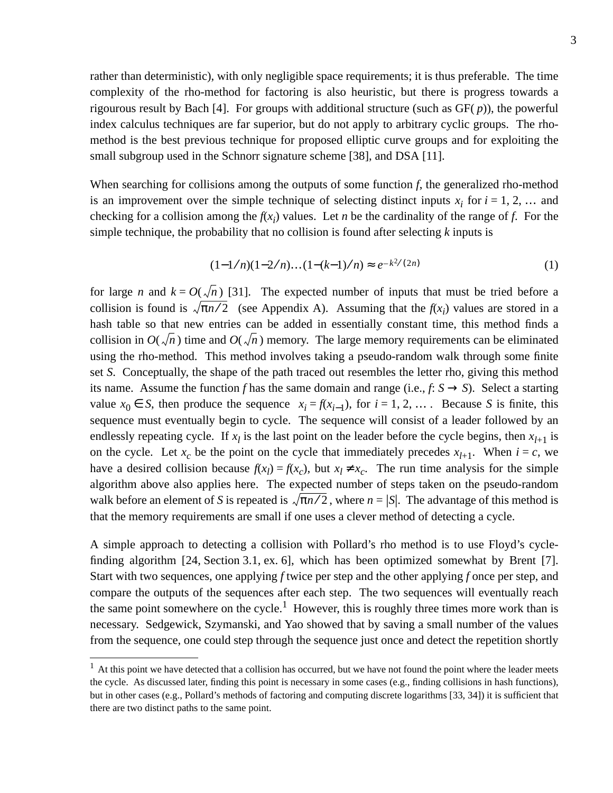rather than deterministic), with only negligible space requirements; it is thus preferable. The time complexity of the rho-method for factoring is also heuristic, but there is progress towards a rigourous result by Bach [4]. For groups with additional structure (such as GF( *p*)), the powerful index calculus techniques are far superior, but do not apply to arbitrary cyclic groups. The rhomethod is the best previous technique for proposed elliptic curve groups and for exploiting the small subgroup used in the Schnorr signature scheme [38], and DSA [11].

When searching for collisions among the outputs of some function *f*, the generalized rho-method is an improvement over the simple technique of selecting distinct inputs  $x_i$  for  $i = 1, 2, \ldots$  and checking for a collision among the  $f(x_i)$  values. Let *n* be the cardinality of the range of *f*. For the simple technique, the probability that no collision is found after selecting *k* inputs is

$$
(1-1/n)(1-2/n)...(1-(k-1)/n) \approx e^{-k^2/(2n)} \tag{1}
$$

for large *n* and  $k = O(\sqrt{n})$  [31]. The expected number of inputs that must be tried before a collision is found is  $\sqrt{\pi n/2}$  (see Appendix A). Assuming that the  $f(x_i)$  values are stored in a hash table so that new entries can be added in essentially constant time, this method finds a collision in  $O(\sqrt{n})$  time and  $O(\sqrt{n})$  memory. The large memory requirements can be eliminated using the rho-method. This method involves taking a pseudo-random walk through some finite set *S*. Conceptually, the shape of the path traced out resembles the letter rho, giving this method its name. Assume the function *f* has the same domain and range (i.e.,  $f: S \rightarrow S$ ). Select a starting value  $x_0$  ∈ *S*, then produce the sequence  $x_i = f(x_{i-1})$ , for  $i = 1, 2, ...$  Because *S* is finite, this sequence must eventually begin to cycle. The sequence will consist of a leader followed by an endlessly repeating cycle. If  $x_l$  is the last point on the leader before the cycle begins, then  $x_{l+1}$  is on the cycle. Let  $x_c$  be the point on the cycle that immediately precedes  $x_{l+1}$ . When  $i = c$ , we have a desired collision because  $f(x_l) = f(x_c)$ , but  $x_l \neq x_c$ . The run time analysis for the simple algorithm above also applies here. The expected number of steps taken on the pseudo-random walk before an element of *S* is repeated is  $\sqrt{\pi n/2}$ , where  $n = |S|$ . The advantage of this method is that the memory requirements are small if one uses a clever method of detecting a cycle.

A simple approach to detecting a collision with Pollard's rho method is to use Floyd's cyclefinding algorithm [24, Section 3.1, ex. 6], which has been optimized somewhat by Brent [7]. Start with two sequences, one applying *f* twice per step and the other applying *f* once per step, and compare the outputs of the sequences after each step. The two sequences will eventually reach the same point somewhere on the cycle.<sup>1</sup> However, this is roughly three times more work than is necessary. Sedgewick, Szymanski, and Yao showed that by saving a small number of the values from the sequence, one could step through the sequence just once and detect the repetition shortly

 $<sup>1</sup>$  At this point we have detected that a collision has occurred, but we have not found the point where the leader meets</sup> the cycle. As discussed later, finding this point is necessary in some cases (e.g., finding collisions in hash functions), but in other cases (e.g., Pollard's methods of factoring and computing discrete logarithms [33, 34]) it is sufficient that there are two distinct paths to the same point.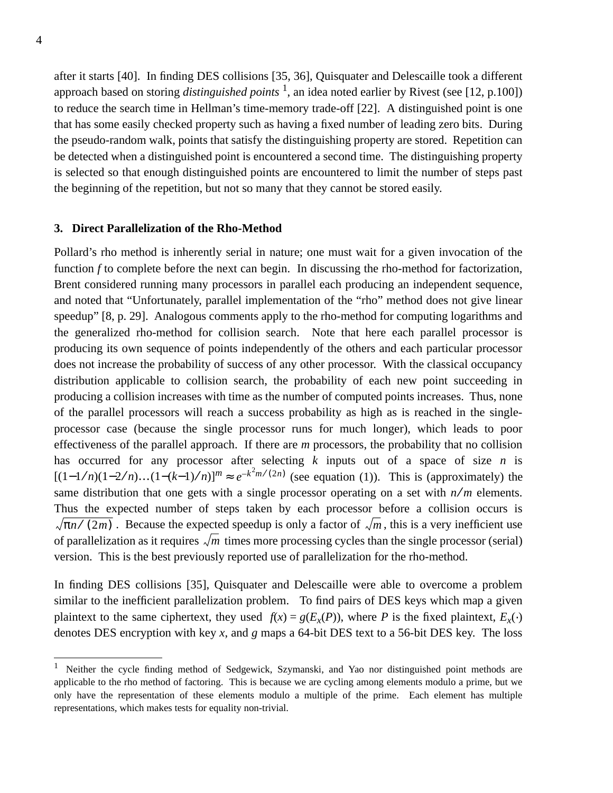after it starts [40]. In finding DES collisions [35, 36], Quisquater and Delescaille took a different approach based on storing *distinguished points* <sup>1</sup> , an idea noted earlier by Rivest (see [12, p.100]) to reduce the search time in Hellman's time-memory trade-off [22]. A distinguished point is one that has some easily checked property such as having a fixed number of leading zero bits. During the pseudo-random walk, points that satisfy the distinguishing property are stored. Repetition can be detected when a distinguished point is encountered a second time. The distinguishing property is selected so that enough distinguished points are encountered to limit the number of steps past the beginning of the repetition, but not so many that they cannot be stored easily.

## **3. Direct Parallelization of the Rho-Method**

Pollard's rho method is inherently serial in nature; one must wait for a given invocation of the function *f* to complete before the next can begin. In discussing the rho-method for factorization, Brent considered running many processors in parallel each producing an independent sequence, and noted that "Unfortunately, parallel implementation of the "rho" method does not give linear speedup" [8, p. 29]. Analogous comments apply to the rho-method for computing logarithms and the generalized rho-method for collision search. Note that here each parallel processor is producing its own sequence of points independently of the others and each particular processor does not increase the probability of success of any other processor. With the classical occupancy distribution applicable to collision search, the probability of each new point succeeding in producing a collision increases with time as the number of computed points increases. Thus, none of the parallel processors will reach a success probability as high as is reached in the singleprocessor case (because the single processor runs for much longer), which leads to poor effectiveness of the parallel approach. If there are *m* processors, the probability that no collision has occurred for any processor after selecting *k* inputs out of a space of size *n* is [ $(1-1/n)(1-2/n)...(1-(k-1)/n)$ ]<sup>*m*</sup> ≈  $e^{-k^2m/(2n)}$  (see equation (1)). This is (approximately) the same distribution that one gets with a single processor operating on a set with  $n/m$  elements. Thus the expected number of steps taken by each processor before a collision occurs is  $\pi n / (2m)$ . Because the expected speedup is only a factor of  $\sqrt{m}$ , this is a very inefficient use of parallelization as it requires  $\sqrt{m}$  times more processing cycles than the single processor (serial) version. This is the best previously reported use of parallelization for the rho-method.

In finding DES collisions [35], Quisquater and Delescaille were able to overcome a problem similar to the inefficient parallelization problem. To find pairs of DES keys which map a given plaintext to the same ciphertext, they used  $f(x) = g(E_x(P))$ , where *P* is the fixed plaintext,  $E_x(.)$ denotes DES encryption with key *x*, and *g* maps a 64-bit DES text to a 56-bit DES key. The loss

<sup>1</sup> Neither the cycle finding method of Sedgewick, Szymanski, and Yao nor distinguished point methods are applicable to the rho method of factoring. This is because we are cycling among elements modulo a prime, but we only have the representation of these elements modulo a multiple of the prime. Each element has multiple representations, which makes tests for equality non-trivial.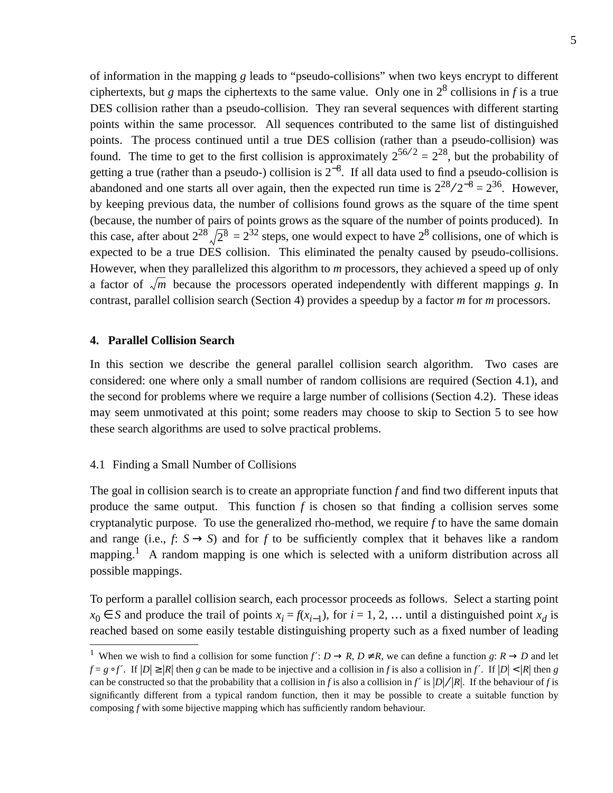of information in the mapping *g* leads to "pseudo-collisions" when two keys encrypt to different ciphertexts, but *g* maps the ciphertexts to the same value. Only one in  $2^8$  collisions in *f* is a true DES collision rather than a pseudo-collision. They ran several sequences with different starting points within the same processor. All sequences contributed to the same list of distinguished points. The process continued until a true DES collision (rather than a pseudo-collision) was found. The time to get to the first collision is approximately  $2^{56/2} = 2^{28}$ , but the probability of getting a true (rather than a pseudo-) collision is  $2^{-8}$ . If all data used to find a pseudo-collision is abandoned and one starts all over again, then the expected run time is  $2^{28}/2^{-8} = 2^{36}$ . However, by keeping previous data, the number of collisions found grows as the square of the time spent (because, the number of pairs of points grows as the square of the number of points produced). In this case, after about  $2^{28} \sqrt{2^8} = 2^{32}$  steps, one would expect to have  $2^8$  collisions, one of which is expected to be a true DES collision. This eliminated the penalty caused by pseudo-collisions. However, when they parallelized this algorithm to *m* processors, they achieved a speed up of only a factor of  $\sqrt{m}$  because the processors operated independently with different mappings *g*. In contrast, parallel collision search (Section 4) provides a speedup by a factor *m* for *m* processors.

## **4. Parallel Collision Search**

In this section we describe the general parallel collision search algorithm. Two cases are considered: one where only a small number of random collisions are required (Section 4.1), and the second for problems where we require a large number of collisions (Section 4.2). These ideas may seem unmotivated at this point; some readers may choose to skip to Section 5 to see how these search algorithms are used to solve practical problems.

## 4.1 Finding a Small Number of Collisions

The goal in collision search is to create an appropriate function *f* and find two different inputs that produce the same output. This function *f* is chosen so that finding a collision serves some cryptanalytic purpose. To use the generalized rho-method, we require *f* to have the same domain and range (i.e.,  $f: S \rightarrow S$ ) and for *f* to be sufficiently complex that it behaves like a random mapping.<sup>1</sup> A random mapping is one which is selected with a uniform distribution across all possible mappings.

To perform a parallel collision search, each processor proceeds as follows. Select a starting point *x*<sup>0</sup> ∈ *S* and produce the trail of points  $x_i = f(x_{i-1})$ , for  $i = 1, 2, ...$  until a distinguished point  $x_d$  is reached based on some easily testable distinguishing property such as a fixed number of leading

<sup>&</sup>lt;sup>1</sup> When we wish to find a collision for some function  $f' : D \to R$ ,  $D \neq R$ , we can define a function  $g: R \to D$  and let  $f = g \circ f'$ . If  $|D| \ge |R|$  then *g* can be made to be injective and a collision in *f* is also a collision in *f'*. If  $|D| < |R|$  then *g* can be constructed so that the probability that a collision in *f* is also a collision in *f'* is  $|D|/|R|$ . If the behaviour of *f* is significantly different from a typical random function, then it may be possible to create a suitable function by composing *f* with some bijective mapping which has sufficiently random behaviour.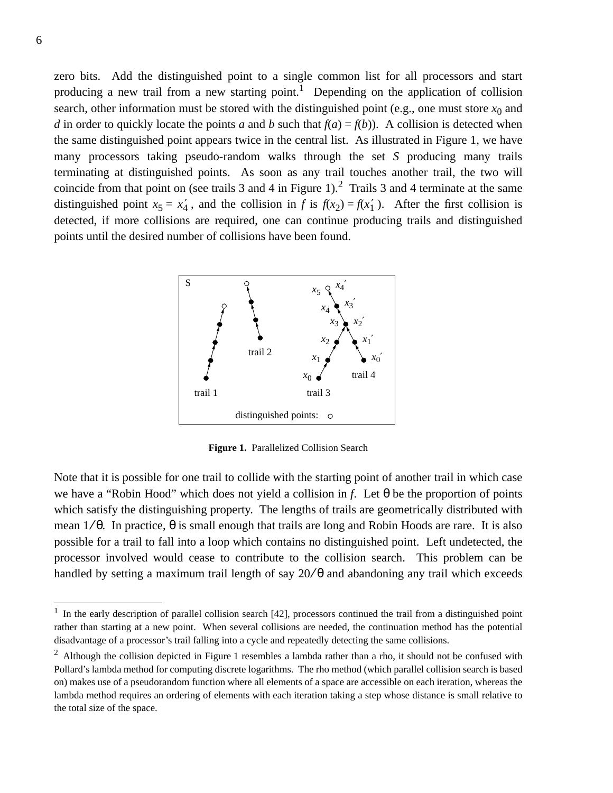zero bits. Add the distinguished point to a single common list for all processors and start producing a new trail from a new starting point.<sup>1</sup> Depending on the application of collision search, other information must be stored with the distinguished point (e.g., one must store  $x_0$  and *d* in order to quickly locate the points *a* and *b* such that  $f(a) = f(b)$ ). A collision is detected when the same distinguished point appears twice in the central list. As illustrated in Figure 1, we have many processors taking pseudo-random walks through the set *S* producing many trails terminating at distinguished points. As soon as any trail touches another trail, the two will coincide from that point on (see trails 3 and 4 in Figure 1).<sup>2</sup> Trails 3 and 4 terminate at the same distinguished point  $x_5 = x_4'$ , and the collision in *f* is  $f(x_2) = f(x_1')$ . After the first collision is detected, if more collisions are required, one can continue producing trails and distinguished points until the desired number of collisions have been found.



**Figure 1.** Parallelized Collision Search

Note that it is possible for one trail to collide with the starting point of another trail in which case we have a "Robin Hood" which does not yield a collision in *f*. Let θ be the proportion of points which satisfy the distinguishing property. The lengths of trails are geometrically distributed with mean  $1/\theta$ . In practice,  $\theta$  is small enough that trails are long and Robin Hoods are rare. It is also possible for a trail to fall into a loop which contains no distinguished point. Left undetected, the processor involved would cease to contribute to the collision search. This problem can be handled by setting a maximum trail length of say  $20/θ$  and abandoning any trail which exceeds

 $1$  In the early description of parallel collision search [42], processors continued the trail from a distinguished point rather than starting at a new point. When several collisions are needed, the continuation method has the potential disadvantage of a processor's trail falling into a cycle and repeatedly detecting the same collisions.

 $2$  Although the collision depicted in Figure 1 resembles a lambda rather than a rho, it should not be confused with Pollard's lambda method for computing discrete logarithms. The rho method (which parallel collision search is based on) makes use of a pseudorandom function where all elements of a space are accessible on each iteration, whereas the lambda method requires an ordering of elements with each iteration taking a step whose distance is small relative to the total size of the space.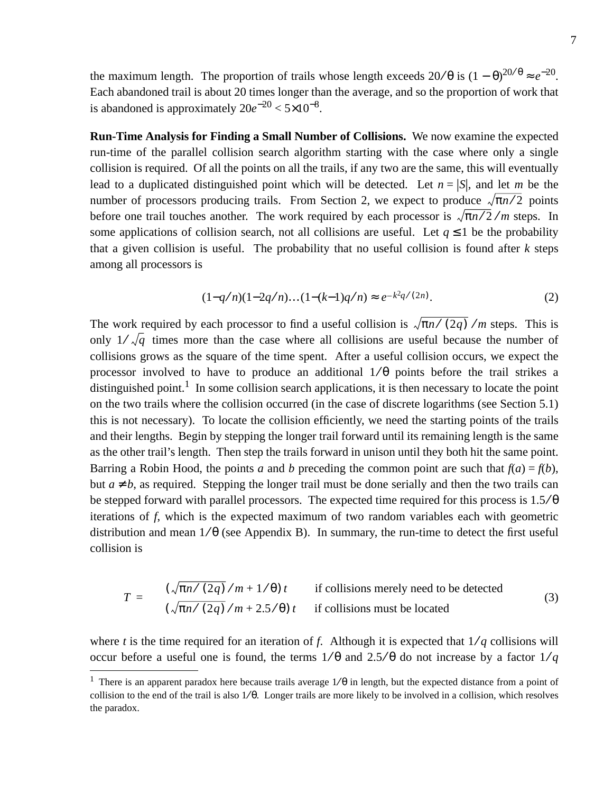the maximum length. The proportion of trails whose length exceeds  $20/\theta$  is  $(1-\theta)^{20/\theta} \approx e^{-20}$ . Each abandoned trail is about 20 times longer than the average, and so the proportion of work that is abandoned is approximately 20*e*−<sup>20</sup> < 5×10−<sup>8</sup> .

**Run-Time Analysis for Finding a Small Number of Collisions.** We now examine the expected run-time of the parallel collision search algorithm starting with the case where only a single collision is required. Of all the points on all the trails, if any two are the same, this will eventually lead to a duplicated distinguished point which will be detected. Let  $n = |S|$ , and let *m* be the number of processors producing trails. From Section 2, we expect to produce  $\sqrt{\pi n/2}$  points before one trail touches another. The work required by each processor is  $\sqrt{\pi n}/2/m$  steps. In some applications of collision search, not all collisions are useful. Let  $q \leq 1$  be the probability that a given collision is useful. The probability that no useful collision is found after  $k$  steps among all processors is

$$
(1-q/n)(1-2q/n)...(1-(k-1)q/n) \approx e^{-k^2q/(2n)}.
$$
 (2)

The work required by each processor to find a useful collision is  $\sqrt{\pi n}/(2q)$  /m steps. This is only  $1/\sqrt{q}$  times more than the case where all collisions are useful because the number of collisions grows as the square of the time spent. After a useful collision occurs, we expect the processor involved to have to produce an additional  $1/\theta$  points before the trail strikes a distinguished point.<sup>1</sup> In some collision search applications, it is then necessary to locate the point on the two trails where the collision occurred (in the case of discrete logarithms (see Section 5.1) this is not necessary). To locate the collision efficiently, we need the starting points of the trails and their lengths. Begin by stepping the longer trail forward until its remaining length is the same as the other trail's length. Then step the trails forward in unison until they both hit the same point. Barring a Robin Hood, the points *a* and *b* preceding the common point are such that  $f(a) = f(b)$ , but  $a \neq b$ , as required. Stepping the longer trail must be done serially and then the two trails can be stepped forward with parallel processors. The expected time required for this process is  $1.5/\theta$ iterations of *f*, which is the expected maximum of two random variables each with geometric distribution and mean  $1/\theta$  (see Appendix B). In summary, the run-time to detect the first useful collision is

$$
T = \begin{cases} (\sqrt{\pi n / (2q)}/m + 1/\theta) t & \text{if collisions merely need to be detected} \\ (\sqrt{\pi n / (2q)}/m + 2.5/\theta) t & \text{if collisions must be located} \end{cases}
$$
(3)

where *t* is the time required for an iteration of *f*. Although it is expected that  $1/q$  collisions will occur before a useful one is found, the terms  $1/\theta$  and  $2.5/\theta$  do not increase by a factor  $1/q$ 

<sup>&</sup>lt;sup>1</sup> There is an apparent paradox here because trails average  $1/\theta$  in length, but the expected distance from a point of collision to the end of the trail is also  $1/\theta$ . Longer trails are more likely to be involved in a collision, which resolves the paradox.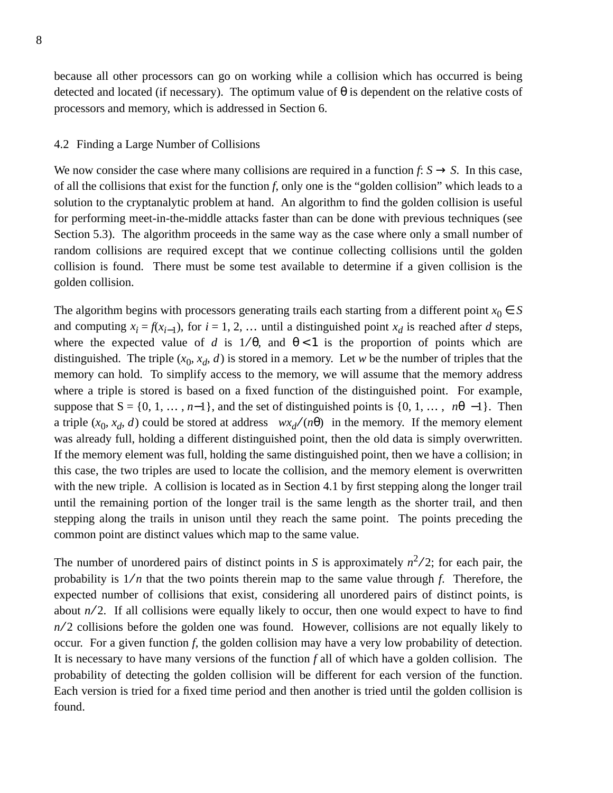because all other processors can go on working while a collision which has occurred is being detected and located (if necessary). The optimum value of  $\theta$  is dependent on the relative costs of processors and memory, which is addressed in Section 6.

#### 4.2 Finding a Large Number of Collisions

We now consider the case where many collisions are required in a function  $f: S \to S$ . In this case, of all the collisions that exist for the function *f*, only one is the "golden collision" which leads to a solution to the cryptanalytic problem at hand. An algorithm to find the golden collision is useful for performing meet-in-the-middle attacks faster than can be done with previous techniques (see Section 5.3). The algorithm proceeds in the same way as the case where only a small number of random collisions are required except that we continue collecting collisions until the golden collision is found. There must be some test available to determine if a given collision is the golden collision.

The algorithm begins with processors generating trails each starting from a different point  $x_0 \in S$ and computing  $x_i = f(x_{i-1})$ , for  $i = 1, 2, ...$  until a distinguished point  $x_d$  is reached after *d* steps, where the expected value of *d* is  $1/\theta$ , and  $\theta < 1$  is the proportion of points which are distinguished. The triple  $(x_0, x_d, d)$  is stored in a memory. Let *w* be the number of triples that the memory can hold. To simplify access to the memory, we will assume that the memory address where a triple is stored is based on a fixed function of the distinguished point. For example, suppose that  $S = \{0, 1, \ldots, n-1\}$ , and the set of distinguished points is  $\{0, 1, \ldots, n\}$ . Then a triple  $(x_0, x_d, d)$  could be stored at address  $\lfloor wx_d/(n\theta)\rfloor$  in the memory. If the memory element was already full, holding a different distinguished point, then the old data is simply overwritten. If the memory element was full, holding the same distinguished point, then we have a collision; in this case, the two triples are used to locate the collision, and the memory element is overwritten with the new triple. A collision is located as in Section 4.1 by first stepping along the longer trail until the remaining portion of the longer trail is the same length as the shorter trail, and then stepping along the trails in unison until they reach the same point. The points preceding the common point are distinct values which map to the same value.

The number of unordered pairs of distinct points in *S* is approximately  $n^2/2$ ; for each pair, the probability is  $1/n$  that the two points therein map to the same value through *f*. Therefore, the expected number of collisions that exist, considering all unordered pairs of distinct points, is about  $n/2$ . If all collisions were equally likely to occur, then one would expect to have to find *n*/2 collisions before the golden one was found. However, collisions are not equally likely to occur. For a given function *f*, the golden collision may have a very low probability of detection. It is necessary to have many versions of the function *f* all of which have a golden collision. The probability of detecting the golden collision will be different for each version of the function. Each version is tried for a fixed time period and then another is tried until the golden collision is found.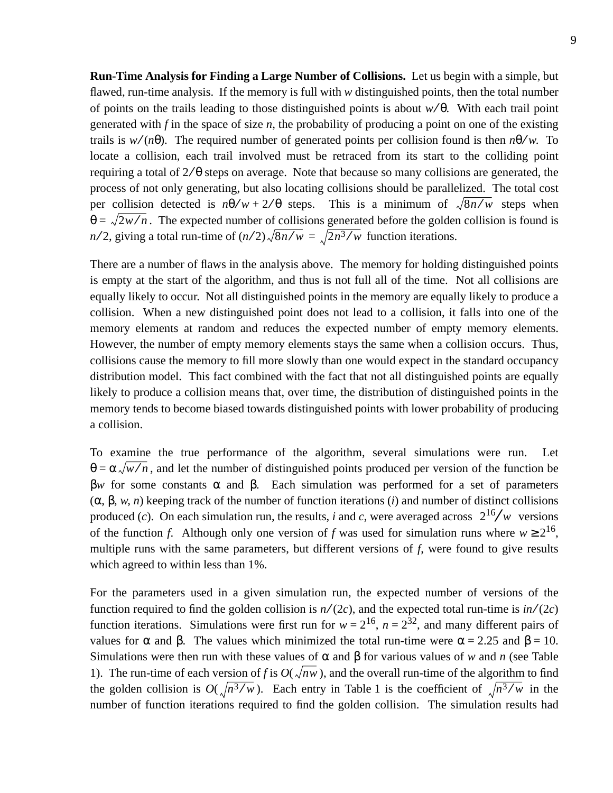**Run-Time Analysis for Finding a Large Number of Collisions.** Let us begin with a simple, but flawed, run-time analysis. If the memory is full with *w* distinguished points, then the total number of points on the trails leading to those distinguished points is about *w* ⁄ θ. With each trail point generated with  $f$  in the space of size  $n$ , the probability of producing a point on one of the existing trails is  $w/(n\theta)$ . The required number of generated points per collision found is then  $n\theta/w$ . To locate a collision, each trail involved must be retraced from its start to the colliding point requiring a total of  $2/\theta$  steps on average. Note that because so many collisions are generated, the process of not only generating, but also locating collisions should be parallelized. The total cost per collision detected is  $n\theta/w + 2/\theta$  steps. This is a minimum of  $\sqrt{8n/w}$  steps when  $\theta = \sqrt{2w/n}$ . The expected number of collisions generated before the golden collision is found is  $n/2$ , giving a total run-time of  $(n/2)\sqrt{8n/w} = \sqrt{2n^3/w}$  function iterations.

There are a number of flaws in the analysis above. The memory for holding distinguished points is empty at the start of the algorithm, and thus is not full all of the time. Not all collisions are equally likely to occur. Not all distinguished points in the memory are equally likely to produce a collision. When a new distinguished point does not lead to a collision, it falls into one of the memory elements at random and reduces the expected number of empty memory elements. However, the number of empty memory elements stays the same when a collision occurs. Thus, collisions cause the memory to fill more slowly than one would expect in the standard occupancy distribution model. This fact combined with the fact that not all distinguished points are equally likely to produce a collision means that, over time, the distribution of distinguished points in the memory tends to become biased towards distinguished points with lower probability of producing a collision.

To examine the true performance of the algorithm, several simulations were run. Let  $\theta = \alpha \sqrt{w/n}$ , and let the number of distinguished points produced per version of the function be β*w* for some constants  $\alpha$  and  $\beta$ . Each simulation was performed for a set of parameters (α, β, *w*, *n*) keeping track of the number of function iterations (*i*) and number of distinct collisions produced (*c*). On each simulation run, the results, *i* and *c*, were averaged across  $\lceil 2^{16} / w \rceil$  versions of the function *f*. Although only one version of *f* was used for simulation runs where  $w \ge 2^{16}$ , multiple runs with the same parameters, but different versions of *f*, were found to give results which agreed to within less than 1%.

For the parameters used in a given simulation run, the expected number of versions of the function required to find the golden collision is  $n/(2c)$ , and the expected total run-time is  $in/(2c)$ function iterations. Simulations were first run for  $w = 2^{16}$ ,  $n = 2^{32}$ , and many different pairs of values for  $\alpha$  and  $\beta$ . The values which minimized the total run-time were  $\alpha = 2.25$  and  $\beta = 10$ . Simulations were then run with these values of  $\alpha$  and  $\beta$  for various values of *w* and *n* (see Table 1). The run-time of each version of f is  $O(\sqrt{nw})$ , and the overall run-time of the algorithm to find the golden collision is  $O(\sqrt{n^3/w})$ . Each entry in Table 1 is the coefficient of  $\sqrt{n^3/w}$  in the number of function iterations required to find the golden collision. The simulation results had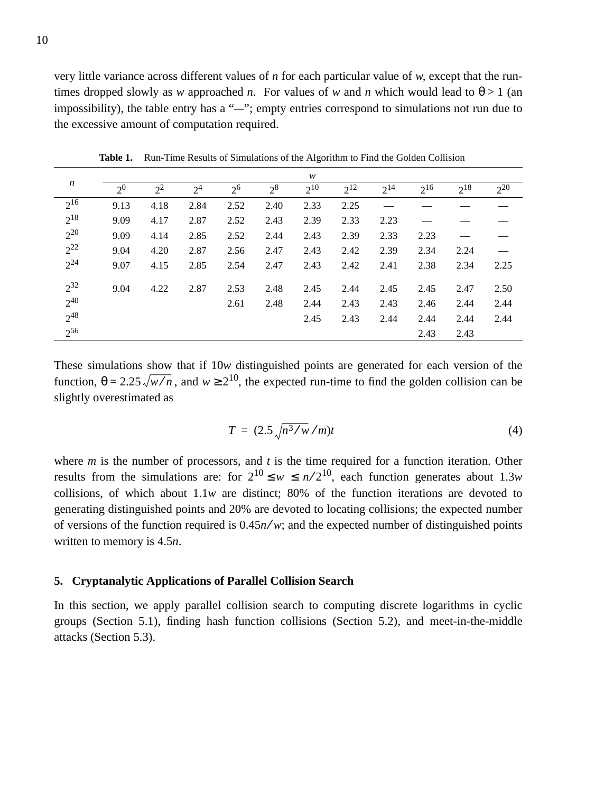very little variance across different values of *n* for each particular value of *w*, except that the runtimes dropped slowly as *w* approached *n*. For values of *w* and *n* which would lead to  $\theta > 1$  (an impossibility), the table entry has a "—"; empty entries correspond to simulations not run due to the excessive amount of computation required.

| $\boldsymbol{n}$ | w              |       |                |         |       |          |          |          |          |          |          |
|------------------|----------------|-------|----------------|---------|-------|----------|----------|----------|----------|----------|----------|
|                  | 2 <sup>0</sup> | $2^2$ | 2 <sup>4</sup> | $2^{6}$ | $2^8$ | $2^{10}$ | $2^{12}$ | $2^{14}$ | $2^{16}$ | $2^{18}$ | $2^{20}$ |
| $2^{16}$         | 9.13           | 4.18  | 2.84           | 2.52    | 2.40  | 2.33     | 2.25     |          |          |          |          |
| $2^{18}$         | 9.09           | 4.17  | 2.87           | 2.52    | 2.43  | 2.39     | 2.33     | 2.23     | --       |          |          |
| $2^{20}$         | 9.09           | 4.14  | 2.85           | 2.52    | 2.44  | 2.43     | 2.39     | 2.33     | 2.23     |          |          |
| $2^{22}$         | 9.04           | 4.20  | 2.87           | 2.56    | 2.47  | 2.43     | 2.42     | 2.39     | 2.34     | 2.24     |          |
| $2^{24}$         | 9.07           | 4.15  | 2.85           | 2.54    | 2.47  | 2.43     | 2.42     | 2.41     | 2.38     | 2.34     | 2.25     |
| $2^{32}$         | 9.04           | 4.22  | 2.87           | 2.53    | 2.48  | 2.45     | 2.44     | 2.45     | 2.45     | 2.47     | 2.50     |
| $2^{40}$         |                |       |                | 2.61    | 2.48  | 2.44     | 2.43     | 2.43     | 2.46     | 2.44     | 2.44     |
| $2^{48}$         |                |       |                |         |       | 2.45     | 2.43     | 2.44     | 2.44     | 2.44     | 2.44     |
| $2^{56}$         |                |       |                |         |       |          |          |          | 2.43     | 2.43     |          |

**Table 1.** Run-Time Results of Simulations of the Algorithm to Find the Golden Collision

These simulations show that if 10*w* distinguished points are generated for each version of the function,  $\theta = 2.25 \sqrt{w/n}$ , and  $w \ge 2^{10}$ , the expected run-time to find the golden collision can be slightly overestimated as

$$
T = (2.5 \sqrt{n^3 / w / m})t \tag{4}
$$

where *m* is the number of processors, and *t* is the time required for a function iteration. Other results from the simulations are: for  $2^{10} \leq w \leq n/2^{10}$ , each function generates about 1.3*w* collisions, of which about 1.1*w* are distinct; 80% of the function iterations are devoted to generating distinguished points and 20% are devoted to locating collisions; the expected number of versions of the function required is  $0.45n/w$ ; and the expected number of distinguished points written to memory is 4.5*n*.

#### **5. Cryptanalytic Applications of Parallel Collision Search**

In this section, we apply parallel collision search to computing discrete logarithms in cyclic groups (Section 5.1), finding hash function collisions (Section 5.2), and meet-in-the-middle attacks (Section 5.3).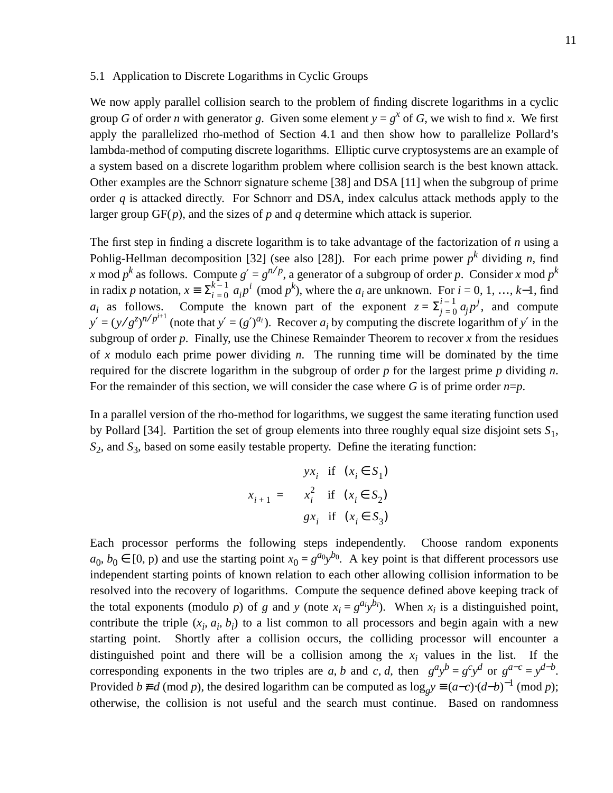#### 5.1 Application to Discrete Logarithms in Cyclic Groups

We now apply parallel collision search to the problem of finding discrete logarithms in a cyclic group *G* of order *n* with generator *g*. Given some element  $y = g^x$  of *G*, we wish to find *x*. We first apply the parallelized rho-method of Section 4.1 and then show how to parallelize Pollard's lambda-method of computing discrete logarithms. Elliptic curve cryptosystems are an example of a system based on a discrete logarithm problem where collision search is the best known attack. Other examples are the Schnorr signature scheme [38] and DSA [11] when the subgroup of prime order *q* is attacked directly. For Schnorr and DSA, index calculus attack methods apply to the larger group GF(*p*), and the sizes of *p* and *q* determine which attack is superior.

The first step in finding a discrete logarithm is to take advantage of the factorization of *n* using a Pohlig-Hellman decomposition [32] (see also [28]). For each prime power  $p^k$  dividing *n*, find *x* mod  $p^k$  as follows. Compute  $g' = g^{n/p}$ , a generator of a subgroup of order *p*. Consider *x* mod  $p^k$ in radix *p* notation,  $x \equiv \sum_{i=0}^{k-1} a_i p^i \pmod{p^k}$ , where the  $a_i$  are unknown. For  $i = 0, 1, ..., k-1$ , find  $a_i$  as follows. Compute the known part of the exponent  $z = \sum_{j=0}^{i-1} a_j p^j$ , and compute  $y' = (y/g^z)^{n/p^{i+1}}$  (note that  $y' = (g')^{a_i}$ ). Recover *a<sub>i</sub>* by computing the discrete logarithm of *y*' in the subgroup of order  $p$ . Finally, use the Chinese Remainder Theorem to recover  $x$  from the residues of *x* modulo each prime power dividing *n*. The running time will be dominated by the time required for the discrete logarithm in the subgroup of order *p* for the largest prime *p* dividing *n*. For the remainder of this section, we will consider the case where G is of prime order  $n=p$ .  $\sum_{j=0}^{i-1} a_j p^j$ 

In a parallel version of the rho-method for logarithms, we suggest the same iterating function used by Pollard [34]. Partition the set of group elements into three roughly equal size disjoint sets *S*1, *S*2, and *S*3, based on some easily testable property. Define the iterating function:

$$
x_{i+1} = \begin{cases} yx_i & \text{if } (x_i \in S_1) \\ x_i^2 & \text{if } (x_i \in S_2) \\ gx_i & \text{if } (x_i \in S_3) \end{cases}
$$

Each processor performs the following steps independently. Choose random exponents  $a_0, b_0 \in [0, p)$  and use the starting point  $x_0 = g^{a_0}y^{b_0}$ . A key point is that different processors use independent starting points of known relation to each other allowing collision information to be resolved into the recovery of logarithms. Compute the sequence defined above keeping track of the total exponents (modulo *p*) of *g* and *y* (note  $x_i = g^{a_i}y^{b_i}$ ). When  $x_i$  is a distinguished point, contribute the triple  $(x_i, a_i, b_i)$  to a list common to all processors and begin again with a new starting point. Shortly after a collision occurs, the colliding processor will encounter a distinguished point and there will be a collision among the  $x_i$  values in the list. If the corresponding exponents in the two triples are *a*, *b* and *c*, *d*, then  $g^a y^b = g^c y^d$  or  $g^{a-c} = y^{d-b}$ . Provided  $b \neq d \pmod{p}$ , the desired logarithm can be computed as  $\log_g y \equiv (a-c) \cdot (d-b)^{-1} \pmod{p}$ ; otherwise, the collision is not useful and the search must continue. Based on randomness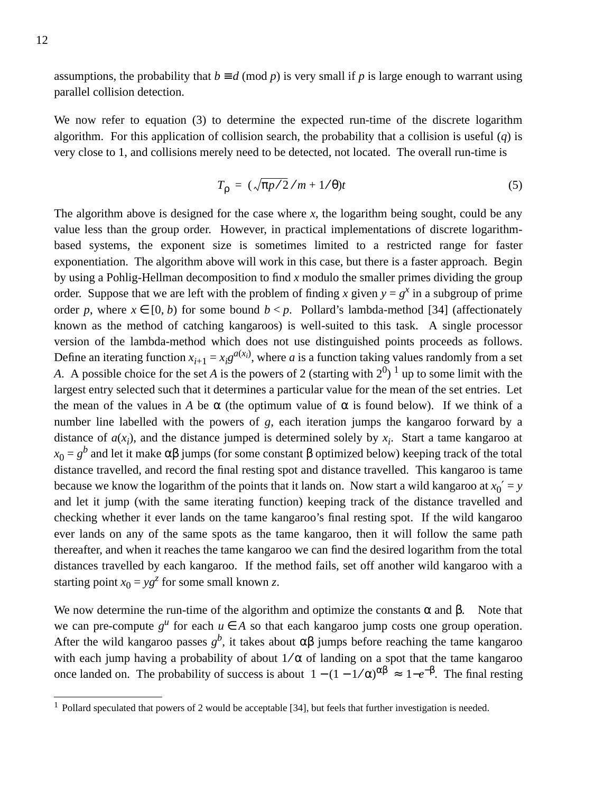assumptions, the probability that  $b \equiv d \pmod{p}$  is very small if *p* is large enough to warrant using parallel collision detection.

We now refer to equation (3) to determine the expected run-time of the discrete logarithm algorithm. For this application of collision search, the probability that a collision is useful (*q*) is very close to 1, and collisions merely need to be detected, not located. The overall run-time is

$$
T_{\rho} = (\sqrt{\pi p/2}/m + 1/\theta)t
$$
 (5)

The algorithm above is designed for the case where *x*, the logarithm being sought, could be any value less than the group order. However, in practical implementations of discrete logarithmbased systems, the exponent size is sometimes limited to a restricted range for faster exponentiation. The algorithm above will work in this case, but there is a faster approach. Begin by using a Pohlig-Hellman decomposition to find *x* modulo the smaller primes dividing the group order. Suppose that we are left with the problem of finding x given  $y = g^x$  in a subgroup of prime order *p*, where  $x \in [0, b)$  for some bound  $b < p$ . Pollard's lambda-method [34] (affectionately known as the method of catching kangaroos) is well-suited to this task. A single processor version of the lambda-method which does not use distinguished points proceeds as follows. Define an iterating function  $x_{i+1} = x_i g^{a(x_i)}$ , where *a* is a function taking values randomly from a set *A*. A possible choice for the set *A* is the powers of 2 (starting with  $2^0$ ) <sup>1</sup> up to some limit with the largest entry selected such that it determines a particular value for the mean of the set entries. Let the mean of the values in *A* be  $\alpha$  (the optimum value of  $\alpha$  is found below). If we think of a number line labelled with the powers of *g*, each iteration jumps the kangaroo forward by a distance of  $a(x_i)$ , and the distance jumped is determined solely by  $x_i$ . Start a tame kangaroo at  $x_0 = g^b$  and let it make αβ jumps (for some constant β optimized below) keeping track of the total distance travelled, and record the final resting spot and distance travelled. This kangaroo is tame because we know the logarithm of the points that it lands on. Now start a wild kangaroo at  $x_0' = y$ and let it jump (with the same iterating function) keeping track of the distance travelled and checking whether it ever lands on the tame kangaroo's final resting spot. If the wild kangaroo ever lands on any of the same spots as the tame kangaroo, then it will follow the same path thereafter, and when it reaches the tame kangaroo we can find the desired logarithm from the total distances travelled by each kangaroo. If the method fails, set off another wild kangaroo with a starting point  $x_0 = yg^z$  for some small known *z*.

We now determine the run-time of the algorithm and optimize the constants  $\alpha$  and  $\beta$ . Note that we can pre-compute  $g^u$  for each  $u \in A$  so that each kangaroo jump costs one group operation. After the wild kangaroo passes  $g^b$ , it takes about  $\alpha\beta$  jumps before reaching the tame kangaroo with each jump having a probability of about  $1/\alpha$  of landing on a spot that the tame kangaroo once landed on. The probability of success is about  $1 - (1 - 1/\alpha)^{\alpha\beta} \approx 1 - e^{-\beta}$ . The final resting

<sup>&</sup>lt;sup>1</sup> Pollard speculated that powers of 2 would be acceptable [34], but feels that further investigation is needed.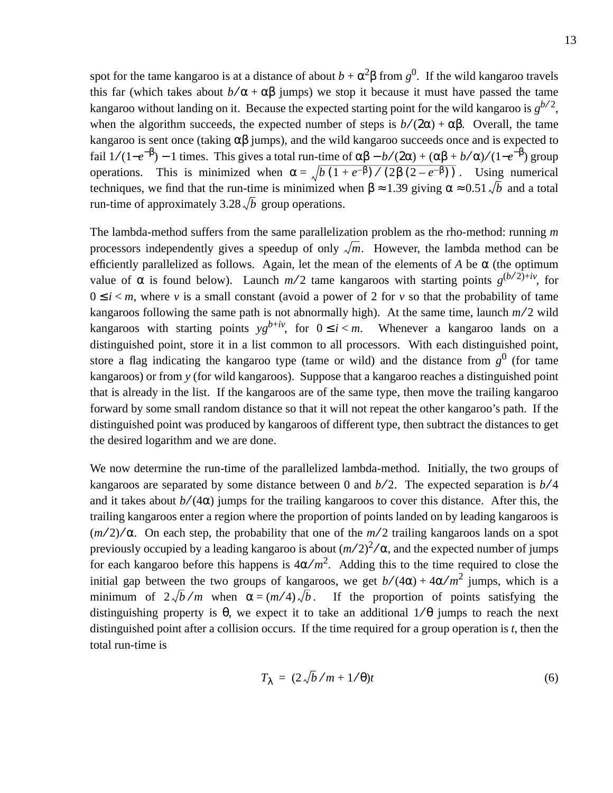spot for the tame kangaroo is at a distance of about  $b + \alpha^2 \beta$  from  $g^0$ . If the wild kangaroo travels this far (which takes about  $b/\alpha + \alpha\beta$  jumps) we stop it because it must have passed the tame kangaroo without landing on it. Because the expected starting point for the wild kangaroo is  $g^{b/2}$ , when the algorithm succeeds, the expected number of steps is  $b/(2\alpha) + \alpha\beta$ . Overall, the tame kangaroo is sent once (taking  $\alpha\beta$  jumps), and the wild kangaroo succeeds once and is expected to fail  $1/(1-e^{-\beta}) - 1$  times. This gives a total run-time of  $\alpha\beta - b/(2\alpha) + (\alpha\beta + b/\alpha)/(1-e^{-\beta})$  group operations. This is minimized when  $\alpha = \sqrt{b(1 + e^{-\beta})/(2\beta(2 - e^{-\beta}))}$ . Using numerical techniques, we find that the run-time is minimized when  $\beta \approx 1.39$  giving  $\alpha \approx 0.51 \sqrt{b}$  and a total run-time of approximately  $3.28\sqrt{b}$  group operations.

The lambda-method suffers from the same parallelization problem as the rho-method: running *m* processors independently gives a speedup of only  $\sqrt{m}$ . However, the lambda method can be efficiently parallelized as follows. Again, let the mean of the elements of *A* be  $\alpha$  (the optimum value of  $\alpha$  is found below). Launch  $m/2$  tame kangaroos with starting points  $g^{(b/2)+iv}$ , for  $0 \le i < m$ , where *v* is a small constant (avoid a power of 2 for *v* so that the probability of tame kangaroos following the same path is not abnormally high). At the same time, launch  $m/2$  wild kangaroos with starting points  $yg^{b+iv}$ , for  $0 \le i < m$ . Whenever a kangaroo lands on a distinguished point, store it in a list common to all processors. With each distinguished point, store a flag indicating the kangaroo type (tame or wild) and the distance from  $g<sup>0</sup>$  (for tame kangaroos) or from *y* (for wild kangaroos). Suppose that a kangaroo reaches a distinguished point that is already in the list. If the kangaroos are of the same type, then move the trailing kangaroo forward by some small random distance so that it will not repeat the other kangaroo's path. If the distinguished point was produced by kangaroos of different type, then subtract the distances to get the desired logarithm and we are done.

We now determine the run-time of the parallelized lambda-method. Initially, the two groups of kangaroos are separated by some distance between 0 and  $b/2$ . The expected separation is  $b/4$ and it takes about  $b/(4\alpha)$  jumps for the trailing kangaroos to cover this distance. After this, the trailing kangaroos enter a region where the proportion of points landed on by leading kangaroos is  $(m/2)/\alpha$ . On each step, the probability that one of the  $m/2$  trailing kangaroos lands on a spot previously occupied by a leading kangaroo is about  $(m/2)^2/\alpha$ , and the expected number of jumps for each kangaroo before this happens is  $4\alpha/m^2$ . Adding this to the time required to close the initial gap between the two groups of kangaroos, we get  $b/(4\alpha) + 4\alpha/m^2$  jumps, which is a minimum of  $2\sqrt{b/m}$  when  $\alpha = (m/4)\sqrt{b}$ . If the proportion of points satisfying the distinguishing property is  $\theta$ , we expect it to take an additional  $1/\theta$  jumps to reach the next distinguished point after a collision occurs. If the time required for a group operation is *t*, then the total run-time is

$$
T_{\lambda} = (2\sqrt{b}/m + 1/\theta)t
$$
 (6)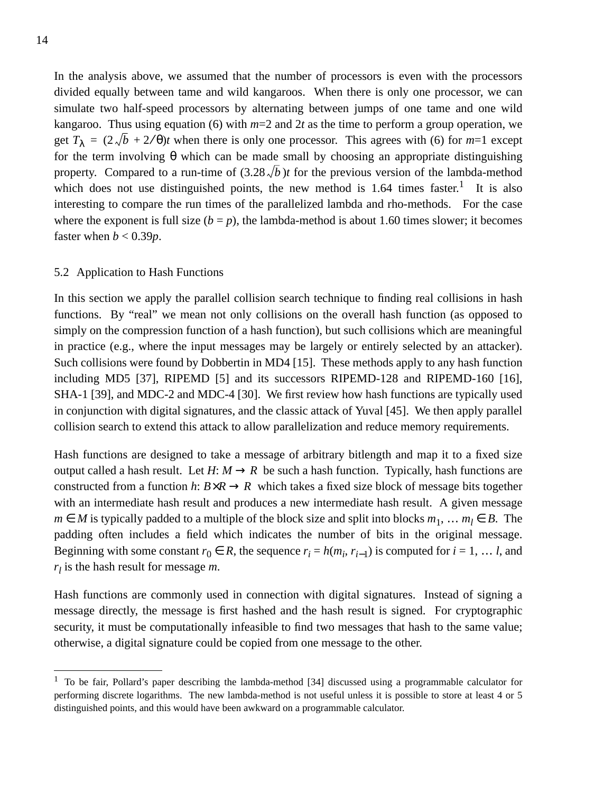In the analysis above, we assumed that the number of processors is even with the processors divided equally between tame and wild kangaroos. When there is only one processor, we can simulate two half-speed processors by alternating between jumps of one tame and one wild kangaroo. Thus using equation (6) with *m*=2 and 2*t* as the time to perform a group operation, we get  $T_{\lambda} = (2\sqrt{b} + 2\sqrt{\theta})t$  when there is only one processor. This agrees with (6) for  $m=1$  except for the term involving θ which can be made small by choosing an appropriate distinguishing property. Compared to a run-time of  $(3.28\sqrt{b})t$  for the previous version of the lambda-method which does not use distinguished points, the new method is  $1.64$  times faster.<sup>1</sup> It is also interesting to compare the run times of the parallelized lambda and rho-methods. For the case where the exponent is full size  $(b = p)$ , the lambda-method is about 1.60 times slower; it becomes faster when  $b < 0.39p$ .

#### 5.2 Application to Hash Functions

In this section we apply the parallel collision search technique to finding real collisions in hash functions. By "real" we mean not only collisions on the overall hash function (as opposed to simply on the compression function of a hash function), but such collisions which are meaningful in practice (e.g., where the input messages may be largely or entirely selected by an attacker). Such collisions were found by Dobbertin in MD4 [15]. These methods apply to any hash function including MD5 [37], RIPEMD [5] and its successors RIPEMD-128 and RIPEMD-160 [16], SHA-1 [39], and MDC-2 and MDC-4 [30]. We first review how hash functions are typically used in conjunction with digital signatures, and the classic attack of Yuval [45]. We then apply parallel collision search to extend this attack to allow parallelization and reduce memory requirements.

Hash functions are designed to take a message of arbitrary bitlength and map it to a fixed size output called a hash result. Let  $H: M \to R$  be such a hash function. Typically, hash functions are constructed from a function *h*:  $B \times R \rightarrow R$  which takes a fixed size block of message bits together with an intermediate hash result and produces a new intermediate hash result. A given message *m* ∈ *M* is typically padded to a multiple of the block size and split into blocks  $m_1$ , ...  $m_l$  ∈ *B*. The padding often includes a field which indicates the number of bits in the original message. Beginning with some constant  $r_0 \in R$ , the sequence  $r_i = h(m_i, r_{i-1})$  is computed for  $i = 1, \ldots l$ , and *rl* is the hash result for message *m*.

Hash functions are commonly used in connection with digital signatures. Instead of signing a message directly, the message is first hashed and the hash result is signed. For cryptographic security, it must be computationally infeasible to find two messages that hash to the same value; otherwise, a digital signature could be copied from one message to the other.

<sup>&</sup>lt;sup>1</sup> To be fair, Pollard's paper describing the lambda-method [34] discussed using a programmable calculator for performing discrete logarithms. The new lambda-method is not useful unless it is possible to store at least 4 or 5 distinguished points, and this would have been awkward on a programmable calculator.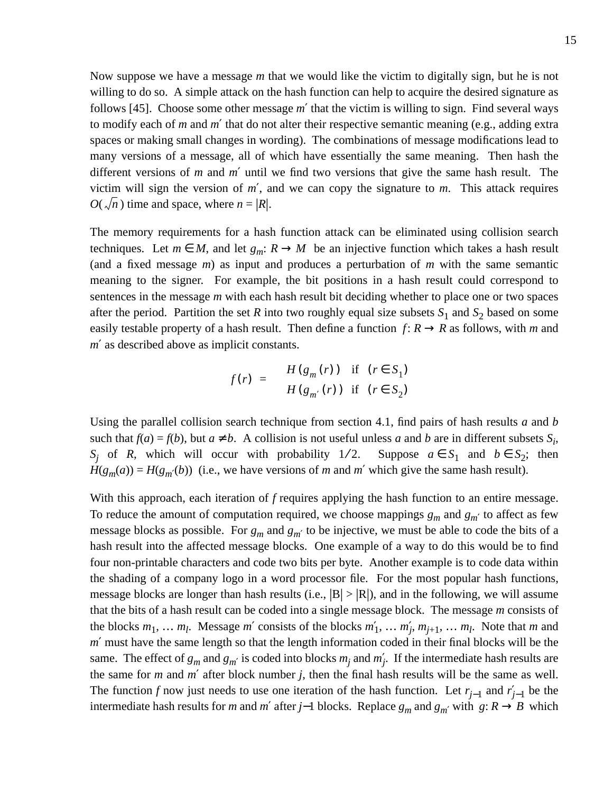Now suppose we have a message *m* that we would like the victim to digitally sign, but he is not willing to do so. A simple attack on the hash function can help to acquire the desired signature as follows [45]. Choose some other message *m*′ that the victim is willing to sign. Find several ways to modify each of *m* and *m*′ that do not alter their respective semantic meaning (e.g., adding extra spaces or making small changes in wording). The combinations of message modifications lead to many versions of a message, all of which have essentially the same meaning. Then hash the different versions of *m* and *m*′ until we find two versions that give the same hash result. The victim will sign the version of *m*′, and we can copy the signature to *m*. This attack requires  $O(\sqrt{n})$  time and space, where  $n = |R|$ .

The memory requirements for a hash function attack can be eliminated using collision search techniques. Let  $m \in M$ , and let  $g_m: R \to M$  be an injective function which takes a hash result (and a fixed message *m*) as input and produces a perturbation of *m* with the same semantic meaning to the signer. For example, the bit positions in a hash result could correspond to sentences in the message *m* with each hash result bit deciding whether to place one or two spaces after the period. Partition the set *R* into two roughly equal size subsets  $S_1$  and  $S_2$  based on some easily testable property of a hash result. Then define a function  $f: R \to R$  as follows, with *m* and *m*′ as described above as implicit constants.

$$
f(r) = \begin{cases} H(g_m(r)) & \text{if } (r \in S_1) \\ H(g_{m'}(r)) & \text{if } (r \in S_2) \end{cases}
$$

Using the parallel collision search technique from section 4.1, find pairs of hash results *a* and *b* such that  $f(a) = f(b)$ , but  $a \neq b$ . A collision is not useful unless *a* and *b* are in different subsets  $S_i$ , *S<sub>j</sub>* of *R*, which will occur with probability 1/2. Suppose  $a \in S_1$  and  $b \in S_2$ ; then  $H(g_m(a)) = H(g_m(b))$  (i.e., we have versions of *m* and *m'* which give the same hash result).

With this approach, each iteration of *f* requires applying the hash function to an entire message. To reduce the amount of computation required, we choose mappings  $g_m$  and  $g_{m'}$  to affect as few message blocks as possible. For  $g_m$  and  $g_{m'}$  to be injective, we must be able to code the bits of a hash result into the affected message blocks. One example of a way to do this would be to find four non-printable characters and code two bits per byte. Another example is to code data within the shading of a company logo in a word processor file. For the most popular hash functions, message blocks are longer than hash results (i.e.,  $|B| > |R|$ ), and in the following, we will assume that the bits of a hash result can be coded into a single message block. The message *m* consists of the blocks  $m_1, \ldots, m_l$ . Message  $m'$  consists of the blocks  $m'_1, \ldots, m'_j, m_{j+1}, \ldots, m_l$ . Note that  $m$  and *m*′ must have the same length so that the length information coded in their final blocks will be the same. The effect of  $g_m$  and  $g_{m'}$  is coded into blocks  $m_j$  and  $m'_j$ . If the intermediate hash results are the same for *m* and *m*′ after block number *j*, then the final hash results will be the same as well. The function *f* now just needs to use one iteration of the hash function. Let  $r_{j-1}$  and  $r'_{j-1}$  be the intermediate hash results for *m* and *m'* after *j*−1 blocks. Replace  $g_m$  and  $g_m'$  with  $g: R \to B$  which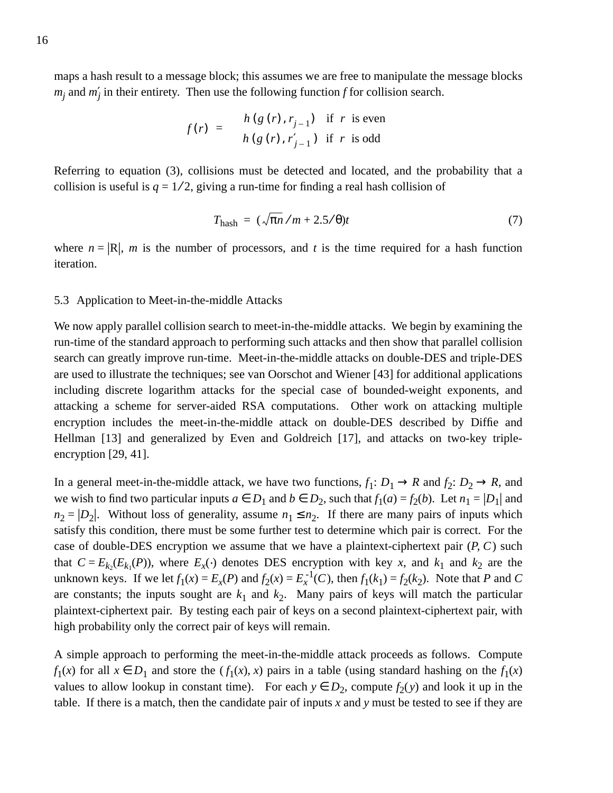maps a hash result to a message block; this assumes we are free to manipulate the message blocks  $m_j$  and  $m'_j$  in their entirety. Then use the following function *f* for collision search.

$$
f(r) = \begin{cases} h(g(r), r_{j-1}) & \text{if } r \text{ is even} \\ h(g(r), r'_{j-1}) & \text{if } r \text{ is odd} \end{cases}
$$

Referring to equation (3), collisions must be detected and located, and the probability that a collision is useful is  $q = 1/2$ , giving a run-time for finding a real hash collision of

$$
T_{\text{hash}} = (\sqrt{\pi n}/m + 2.5/\theta)t \tag{7}
$$

where  $n = |R|$ , *m* is the number of processors, and *t* is the time required for a hash function iteration.

#### 5.3 Application to Meet-in-the-middle Attacks

We now apply parallel collision search to meet-in-the-middle attacks. We begin by examining the run-time of the standard approach to performing such attacks and then show that parallel collision search can greatly improve run-time. Meet-in-the-middle attacks on double-DES and triple-DES are used to illustrate the techniques; see van Oorschot and Wiener [43] for additional applications including discrete logarithm attacks for the special case of bounded-weight exponents, and attacking a scheme for server-aided RSA computations. Other work on attacking multiple encryption includes the meet-in-the-middle attack on double-DES described by Diffie and Hellman [13] and generalized by Even and Goldreich [17], and attacks on two-key tripleencryption [29, 41].

In a general meet-in-the-middle attack, we have two functions,  $f_1: D_1 \to R$  and  $f_2: D_2 \to R$ , and we wish to find two particular inputs  $a \in D_1$  and  $b \in D_2$ , such that  $f_1(a) = f_2(b)$ . Let  $n_1 = |D_1|$  and  $n_2 = |D_2|$ . Without loss of generality, assume  $n_1 \le n_2$ . If there are many pairs of inputs which satisfy this condition, there must be some further test to determine which pair is correct. For the case of double-DES encryption we assume that we have a plaintext-ciphertext pair (*P*, *C*) such that  $C = E_{k_2}(E_{k_1}(P))$ , where  $E_x(\cdot)$  denotes DES encryption with key *x*, and  $k_1$  and  $k_2$  are the unknown keys. If we let  $f_1(x) = E_x(P)$  and  $f_2(x) = E_x^{-1}(C)$ , then  $f_1(k_1) = f_2(k_2)$ . Note that *P* and *C* are constants; the inputs sought are  $k_1$  and  $k_2$ . Many pairs of keys will match the particular plaintext-ciphertext pair. By testing each pair of keys on a second plaintext-ciphertext pair, with high probability only the correct pair of keys will remain.

A simple approach to performing the meet-in-the-middle attack proceeds as follows. Compute *f*<sub>1</sub>(*x*) for all  $x \in D_1$  and store the  $(f_1(x), x)$  pairs in a table (using standard hashing on the *f*<sub>1</sub>(*x*) values to allow lookup in constant time). For each  $y \in D_2$ , compute  $f_2(y)$  and look it up in the table. If there is a match, then the candidate pair of inputs *x* and *y* must be tested to see if they are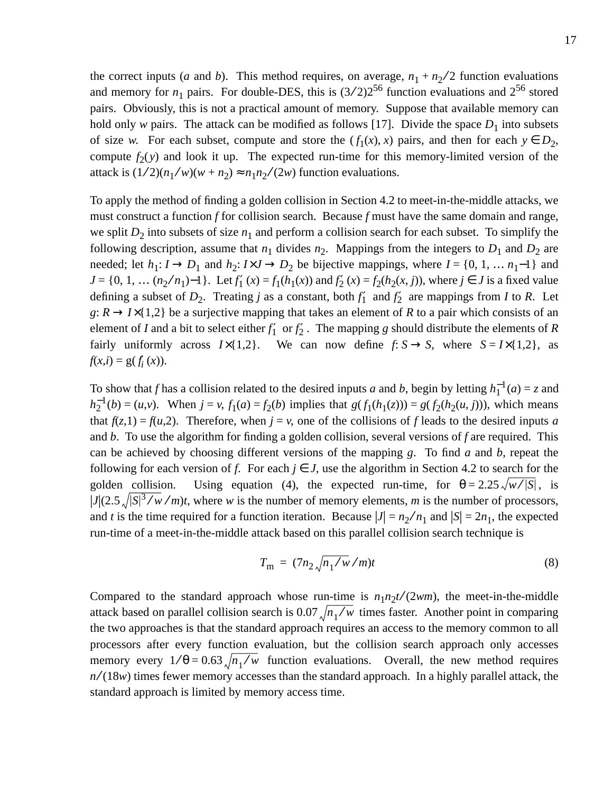the correct inputs (*a* and *b*). This method requires, on average,  $n_1 + n_2/2$  function evaluations and memory for  $n_1$  pairs. For double-DES, this is  $(3/2)2^{56}$  function evaluations and  $2^{56}$  stored pairs. Obviously, this is not a practical amount of memory. Suppose that available memory can hold only *w* pairs. The attack can be modified as follows [17]. Divide the space  $D_1$  into subsets of size *w*. For each subset, compute and store the  $(f_1(x), x)$  pairs, and then for each  $y \in D_2$ , compute  $f_2(y)$  and look it up. The expected run-time for this memory-limited version of the attack is  $(1/2)(n_1/w)(w + n_2) \approx n_1 n_2/(2w)$  function evaluations.

To apply the method of finding a golden collision in Section 4.2 to meet-in-the-middle attacks, we must construct a function *f* for collision search. Because *f* must have the same domain and range, we split  $D_2$  into subsets of size  $n_1$  and perform a collision search for each subset. To simplify the following description, assume that  $n_1$  divides  $n_2$ . Mappings from the integers to  $D_1$  and  $D_2$  are needed; let  $h_1: I \to D_1$  and  $h_2: I \times J \to D_2$  be bijective mappings, where  $I = \{0, 1, ..., n_1-1\}$  and *J* = {0, 1, ...  $(n_2/n_1)$ –1}. Let  $f_1'(x) = f_1(h_1(x))$  and  $f_2'(x) = f_2(h_2(x, j))$ , where *j* ∈ *J* is a fixed value defining a subset of  $D_2$ . Treating *j* as a constant, both  $f_1'$  and  $f_2'$  are mappings from *I* to *R*. Let *g*:  $R \rightarrow I \times \{1,2\}$  be a surjective mapping that takes an element of *R* to a pair which consists of an element of *I* and a bit to select either  $f_1'$  or  $f_2'$ . The mapping *g* should distribute the elements of *R* fairly uniformly across  $I \times \{1,2\}$ . We can now define  $f: S \rightarrow S$ , where  $S = I \times \{1,2\}$ , as  $f(x,i) = g(f'_i(x)).$ 

To show that *f* has a collision related to the desired inputs *a* and *b*, begin by letting  $h_1^{-1}(a) = z$  and  $h_2^{-1}(b) = (u,v)$ . When  $j = v$ ,  $f_1(a) = f_2(b)$  implies that  $g(f_1(h_1(z))) = g(f_2(h_2(u,j)))$ , which means that  $f(z,1) = f(u,2)$ . Therefore, when  $j = v$ , one of the collisions of f leads to the desired inputs *a* and *b*. To use the algorithm for finding a golden collision, several versions of *f* are required. This can be achieved by choosing different versions of the mapping *g*. To find *a* and *b*, repeat the following for each version of *f*. For each  $j \in J$ , use the algorithm in Section 4.2 to search for the golden collision. Using equation (4), the expected run-time, for  $\theta = 2.25 \sqrt{w}/|S|$ , is  $|J|(2.5\sqrt{|S|^3/w/m}t)$ , where *w* is the number of memory elements, *m* is the number of processors, and *t* is the time required for a function iteration. Because  $|J| = n_2/n_1$  and  $|S| = 2n_1$ , the expected run-time of a meet-in-the-middle attack based on this parallel collision search technique is

$$
T_{\rm m} = (7n_2 \sqrt{n_1/w}/m)t \tag{8}
$$

Compared to the standard approach whose run-time is  $n_1 n_2 t/(2wm)$ , the meet-in-the-middle attack based on parallel collision search is  $0.07 \sqrt{n_1 / w}$  times faster. Another point in comparing the two approaches is that the standard approach requires an access to the memory common to all processors after every function evaluation, but the collision search approach only accesses memory every  $1/\theta = 0.63 \sqrt{n_1/w}$  function evaluations. Overall, the new method requires *n* ⁄ (18*w*) times fewer memory accesses than the standard approach. In a highly parallel attack, the standard approach is limited by memory access time.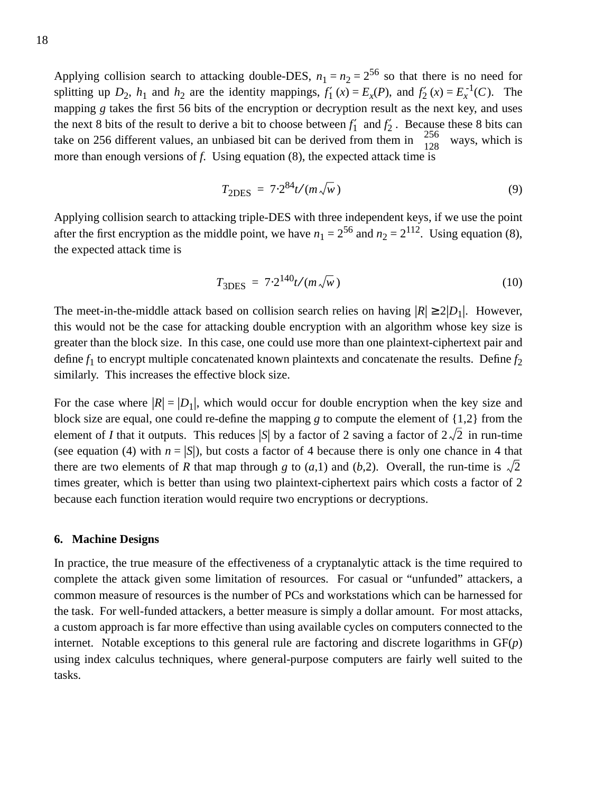Applying collision search to attacking double-DES,  $n_1 = n_2 = 2^{56}$  so that there is no need for splitting up  $D_2$ ,  $h_1$  and  $h_2$  are the identity mappings,  $f_1'(x) = E_x(P)$ , and  $f_2'(x) = E_x^{-1}(C)$ . The mapping *g* takes the first 56 bits of the encryption or decryption result as the next key, and uses the next 8 bits of the result to derive a bit to choose between  $f_1'$  and  $f_2'$ . Because these 8 bits can take on 256 different values, an unbiased bit can be derived from them in  $\binom{256}{128}$  ways, which is more than enough versions of *f*. Using equation (8), the expected attack time is  $(128)$  $(256)$ 

$$
T_{\rm 2DES} = 7.2^{84} t / (m \sqrt{w})
$$
\n(9)

Applying collision search to attacking triple-DES with three independent keys, if we use the point after the first encryption as the middle point, we have  $n_1 = 2^{56}$  and  $n_2 = 2^{112}$ . Using equation (8), the expected attack time is

$$
T_{3\text{DES}} = 7.2^{140} t / (m \sqrt{w}) \tag{10}
$$

The meet-in-the-middle attack based on collision search relies on having  $|R| \ge 2|D_1|$ . However, this would not be the case for attacking double encryption with an algorithm whose key size is greater than the block size. In this case, one could use more than one plaintext-ciphertext pair and define  $f_1$  to encrypt multiple concatenated known plaintexts and concatenate the results. Define  $f_2$ similarly. This increases the effective block size.

For the case where  $|R| = |D_1|$ , which would occur for double encryption when the key size and block size are equal, one could re-define the mapping *g* to compute the element of {1,2} from the element of *I* that it outputs. This reduces |S| by a factor of 2 saving a factor of  $2\sqrt{2}$  in run-time (see equation (4) with  $n = |S|$ ), but costs a factor of 4 because there is only one chance in 4 that there are two elements of *R* that map through *g* to  $(a,1)$  and  $(b,2)$ . Overall, the run-time is  $\sqrt{2}$ times greater, which is better than using two plaintext-ciphertext pairs which costs a factor of 2 because each function iteration would require two encryptions or decryptions.

#### **6. Machine Designs**

In practice, the true measure of the effectiveness of a cryptanalytic attack is the time required to complete the attack given some limitation of resources. For casual or "unfunded" attackers, a common measure of resources is the number of PCs and workstations which can be harnessed for the task. For well-funded attackers, a better measure is simply a dollar amount. For most attacks, a custom approach is far more effective than using available cycles on computers connected to the internet. Notable exceptions to this general rule are factoring and discrete logarithms in GF(*p*) using index calculus techniques, where general-purpose computers are fairly well suited to the tasks.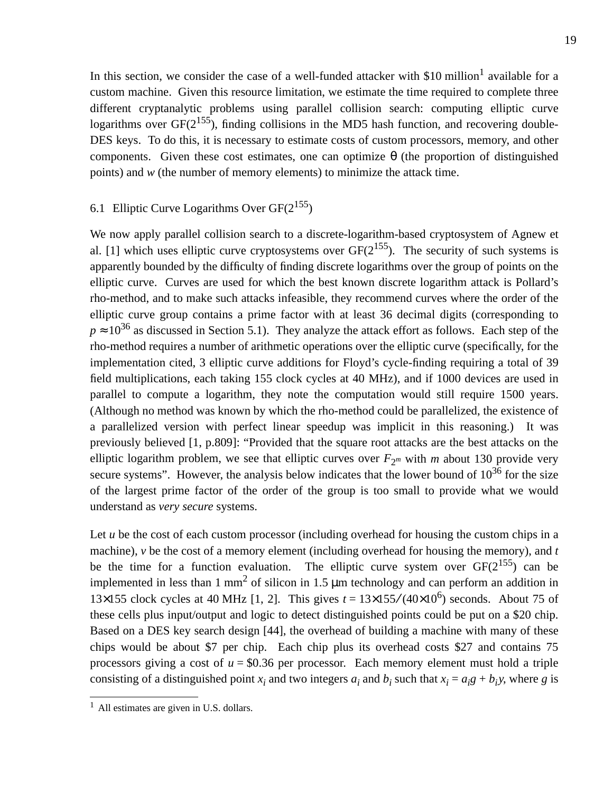In this section, we consider the case of a well-funded attacker with  $$10$  million<sup>1</sup> available for a custom machine. Given this resource limitation, we estimate the time required to complete three different cryptanalytic problems using parallel collision search: computing elliptic curve logarithms over  $GF(2^{155})$ , finding collisions in the MD5 hash function, and recovering double-DES keys. To do this, it is necessary to estimate costs of custom processors, memory, and other components. Given these cost estimates, one can optimize  $\theta$  (the proportion of distinguished points) and *w* (the number of memory elements) to minimize the attack time.

## 6.1 Elliptic Curve Logarithms Over  $GF(2^{155})$

We now apply parallel collision search to a discrete-logarithm-based cryptosystem of Agnew et al. [1] which uses elliptic curve cryptosystems over  $GF(2^{155})$ . The security of such systems is apparently bounded by the difficulty of finding discrete logarithms over the group of points on the elliptic curve. Curves are used for which the best known discrete logarithm attack is Pollard's rho-method, and to make such attacks infeasible, they recommend curves where the order of the elliptic curve group contains a prime factor with at least 36 decimal digits (corresponding to  $p \approx 10^{36}$  as discussed in Section 5.1). They analyze the attack effort as follows. Each step of the rho-method requires a number of arithmetic operations over the elliptic curve (specifically, for the implementation cited, 3 elliptic curve additions for Floyd's cycle-finding requiring a total of 39 field multiplications, each taking 155 clock cycles at 40 MHz), and if 1000 devices are used in parallel to compute a logarithm, they note the computation would still require 1500 years. (Although no method was known by which the rho-method could be parallelized, the existence of a parallelized version with perfect linear speedup was implicit in this reasoning.) It was previously believed [1, p.809]: "Provided that the square root attacks are the best attacks on the elliptic logarithm problem, we see that elliptic curves over  $F_{2^m}$  with *m* about 130 provide very secure systems". However, the analysis below indicates that the lower bound of  $10^{36}$  for the size of the largest prime factor of the order of the group is too small to provide what we would understand as *very secure* systems.

Let *u* be the cost of each custom processor (including overhead for housing the custom chips in a machine), *v* be the cost of a memory element (including overhead for housing the memory), and *t* be the time for a function evaluation. The elliptic curve system over  $GF(2^{155})$  can be implemented in less than 1 mm<sup>2</sup> of silicon in 1.5  $\mu$ m technology and can perform an addition in 13×155 clock cycles at 40 MHz [1, 2]. This gives  $t = 13\times155/(40\times10^6)$  seconds. About 75 of these cells plus input/output and logic to detect distinguished points could be put on a \$20 chip. Based on a DES key search design [44], the overhead of building a machine with many of these chips would be about \$7 per chip. Each chip plus its overhead costs \$27 and contains 75 processors giving a cost of  $u = $0.36$  per processor. Each memory element must hold a triple consisting of a distinguished point  $x_i$  and two integers  $a_i$  and  $b_i$  such that  $x_i = a_i g + b_i y$ , where *g* is

 $<sup>1</sup>$  All estimates are given in U.S. dollars.</sup>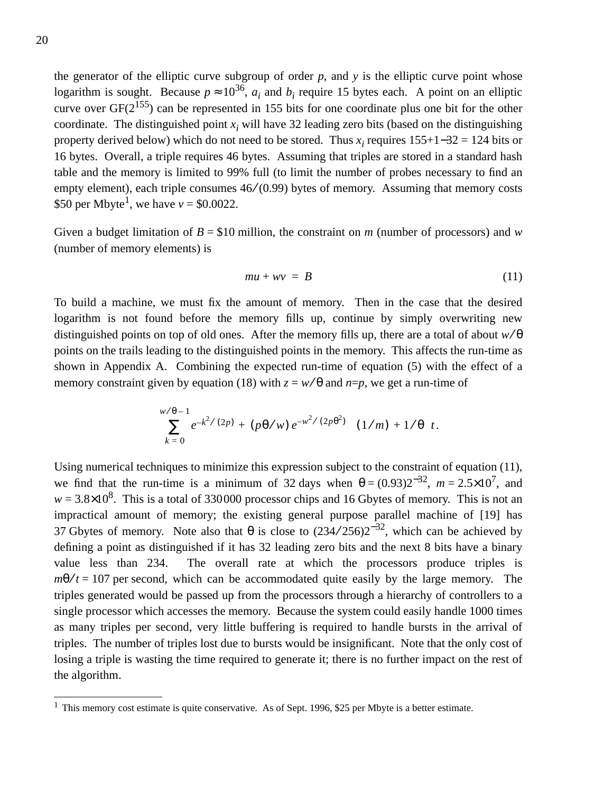the generator of the elliptic curve subgroup of order *p*, and *y* is the elliptic curve point whose logarithm is sought. Because  $p \approx 10^{36}$ ,  $a_i$  and  $b_i$  require 15 bytes each. A point on an elliptic curve over  $GF(2^{155})$  can be represented in 155 bits for one coordinate plus one bit for the other coordinate. The distinguished point  $x_i$  will have 32 leading zero bits (based on the distinguishing property derived below) which do not need to be stored. Thus  $x_i$  requires  $155+1-32 = 124$  bits or 16 bytes. Overall, a triple requires 46 bytes. Assuming that triples are stored in a standard hash table and the memory is limited to 99% full (to limit the number of probes necessary to find an empty element), each triple consumes  $46/(0.99)$  bytes of memory. Assuming that memory costs \$50 per Mbyte<sup>1</sup>, we have  $v = $0.0022$ .

Given a budget limitation of  $B = $10$  million, the constraint on *m* (number of processors) and *w* (number of memory elements) is

$$
mu + wv = B \tag{11}
$$

To build a machine, we must fix the amount of memory. Then in the case that the desired logarithm is not found before the memory fills up, continue by simply overwriting new distinguished points on top of old ones. After the memory fills up, there are a total of about *w* ⁄ θ points on the trails leading to the distinguished points in the memory. This affects the run-time as shown in Appendix A. Combining the expected run-time of equation (5) with the effect of a memory constraint given by equation (18) with  $z = w/\theta$  and  $n=p$ , we get a run-time of

$$
\left(\left(\sum_{k=0}^{w/\theta-1}e^{-k^2/(2p)}+(p\theta/w)\,e^{-w^2/(2p\theta^2)}\right)(1/m)+1/\theta\right)t.
$$

Using numerical techniques to minimize this expression subject to the constraint of equation (11), we find that the run-time is a minimum of 32 days when  $\theta = (0.93)2^{-32}$ ,  $m = 2.5 \times 10^{7}$ , and  $w = 3.8 \times 10^8$ . This is a total of 330000 processor chips and 16 Gbytes of memory. This is not an impractical amount of memory; the existing general purpose parallel machine of [19] has 37 Gbytes of memory. Note also that  $\theta$  is close to  $(234/256)2^{-32}$ , which can be achieved by defining a point as distinguished if it has 32 leading zero bits and the next 8 bits have a binary value less than 234. The overall rate at which the processors produce triples is  $m\theta / t = 107$  per second, which can be accommodated quite easily by the large memory. The triples generated would be passed up from the processors through a hierarchy of controllers to a single processor which accesses the memory. Because the system could easily handle 1000 times as many triples per second, very little buffering is required to handle bursts in the arrival of triples. The number of triples lost due to bursts would be insignificant. Note that the only cost of losing a triple is wasting the time required to generate it; there is no further impact on the rest of the algorithm.

 $1$  This memory cost estimate is quite conservative. As of Sept. 1996, \$25 per Mbyte is a better estimate.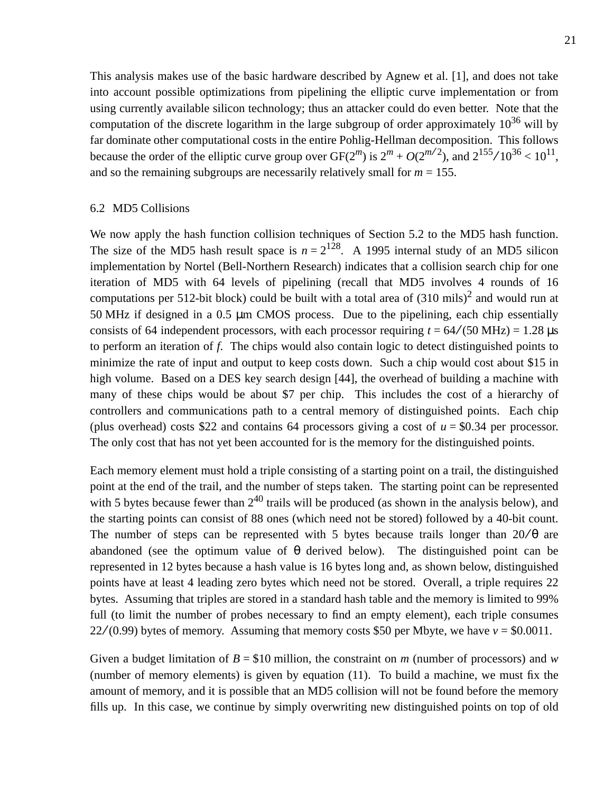This analysis makes use of the basic hardware described by Agnew et al. [1], and does not take into account possible optimizations from pipelining the elliptic curve implementation or from using currently available silicon technology; thus an attacker could do even better. Note that the computation of the discrete logarithm in the large subgroup of order approximately  $10^{36}$  will by far dominate other computational costs in the entire Pohlig-Hellman decomposition. This follows because the order of the elliptic curve group over  $GF(2^m)$  is  $2^m + O(2^{m/2})$ , and  $2^{155}/10^{36} < 10^{11}$ , and so the remaining subgroups are necessarily relatively small for  $m = 155$ .

## 6.2 MD5 Collisions

We now apply the hash function collision techniques of Section 5.2 to the MD5 hash function. The size of the MD5 hash result space is  $n = 2^{128}$ . A 1995 internal study of an MD5 silicon implementation by Nortel (Bell-Northern Research) indicates that a collision search chip for one iteration of MD5 with 64 levels of pipelining (recall that MD5 involves 4 rounds of 16 computations per 512-bit block) could be built with a total area of  $(310 \text{ miles})^2$  and would run at 50 MHz if designed in a 0.5 µm CMOS process. Due to the pipelining, each chip essentially consists of 64 independent processors, with each processor requiring  $t = 64/(50 \text{ MHz}) = 1.28 \text{ }\mu\text{s}$ to perform an iteration of *f*. The chips would also contain logic to detect distinguished points to minimize the rate of input and output to keep costs down. Such a chip would cost about \$15 in high volume. Based on a DES key search design [44], the overhead of building a machine with many of these chips would be about \$7 per chip. This includes the cost of a hierarchy of controllers and communications path to a central memory of distinguished points. Each chip (plus overhead) costs \$22 and contains 64 processors giving a cost of *u* = \$0.34 per processor. The only cost that has not yet been accounted for is the memory for the distinguished points.

Each memory element must hold a triple consisting of a starting point on a trail, the distinguished point at the end of the trail, and the number of steps taken. The starting point can be represented with 5 bytes because fewer than  $2^{40}$  trails will be produced (as shown in the analysis below), and the starting points can consist of 88 ones (which need not be stored) followed by a 40-bit count. The number of steps can be represented with 5 bytes because trails longer than  $20/\theta$  are abandoned (see the optimum value of  $\theta$  derived below). The distinguished point can be represented in 12 bytes because a hash value is 16 bytes long and, as shown below, distinguished points have at least 4 leading zero bytes which need not be stored. Overall, a triple requires 22 bytes. Assuming that triples are stored in a standard hash table and the memory is limited to 99% full (to limit the number of probes necessary to find an empty element), each triple consumes  $22/(0.99)$  bytes of memory. Assuming that memory costs \$50 per Mbyte, we have  $v = $0.0011$ .

Given a budget limitation of *B* = \$10 million, the constraint on *m* (number of processors) and *w* (number of memory elements) is given by equation (11). To build a machine, we must fix the amount of memory, and it is possible that an MD5 collision will not be found before the memory fills up. In this case, we continue by simply overwriting new distinguished points on top of old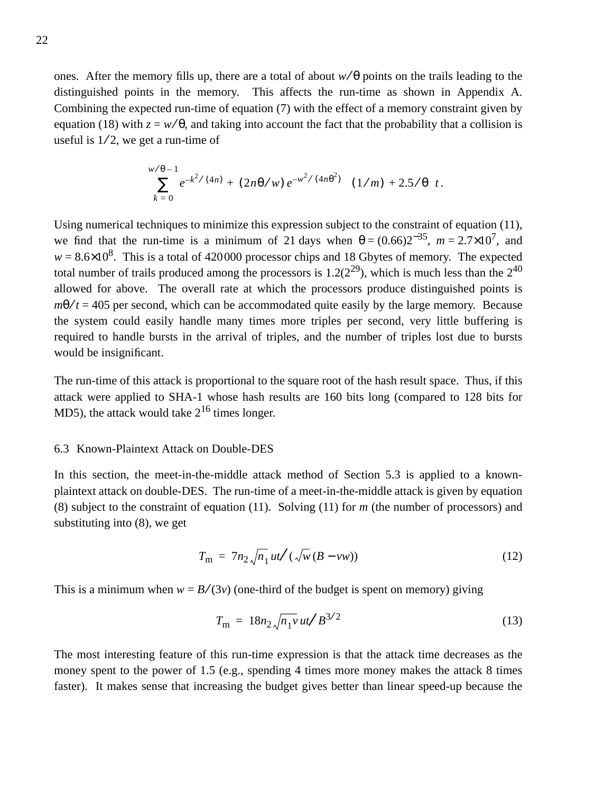ones. After the memory fills up, there are a total of about  $w/\theta$  points on the trails leading to the distinguished points in the memory. This affects the run-time as shown in Appendix A. Combining the expected run-time of equation (7) with the effect of a memory constraint given by equation (18) with  $z = w/\theta$ , and taking into account the fact that the probability that a collision is useful is  $1/2$ , we get a run-time of

$$
\left( \left( \sum_{k=0}^{w/\theta-1} e^{-k^2/(4n)} + (2n\theta/w) e^{-w^2/(4n\theta^2)} \right) (1/m) + 2.5/\theta \right) t.
$$

Using numerical techniques to minimize this expression subject to the constraint of equation (11), we find that the run-time is a minimum of 21 days when  $\theta = (0.66)2^{-35}$ ,  $m = 2.7 \times 10^{7}$ , and  $w = 8.6 \times 10^8$ . This is a total of 420000 processor chips and 18 Gbytes of memory. The expected total number of trails produced among the processors is  $1.2(2^{29})$ , which is much less than the  $2^{40}$ allowed for above. The overall rate at which the processors produce distinguished points is  $m\theta / t = 405$  per second, which can be accommodated quite easily by the large memory. Because the system could easily handle many times more triples per second, very little buffering is required to handle bursts in the arrival of triples, and the number of triples lost due to bursts would be insignificant.

The run-time of this attack is proportional to the square root of the hash result space. Thus, if this attack were applied to SHA-1 whose hash results are 160 bits long (compared to 128 bits for MD5), the attack would take  $2^{16}$  times longer.

## 6.3 Known-Plaintext Attack on Double-DES

In this section, the meet-in-the-middle attack method of Section 5.3 is applied to a knownplaintext attack on double-DES. The run-time of a meet-in-the-middle attack is given by equation (8) subject to the constraint of equation (11). Solving (11) for *m* (the number of processors) and substituting into (8), we get

$$
T_{\rm m} = 7n_2 \sqrt{n_1} ut/(\sqrt{w} (B - vw))
$$
\n(12)

This is a minimum when  $w = B/(3v)$  (one-third of the budget is spent on memory) giving

$$
T_{\rm m} = 18n_2 \sqrt{n_1 v} \, ut/B^{3/2} \tag{13}
$$

The most interesting feature of this run-time expression is that the attack time decreases as the money spent to the power of 1.5 (e.g., spending 4 times more money makes the attack 8 times faster). It makes sense that increasing the budget gives better than linear speed-up because the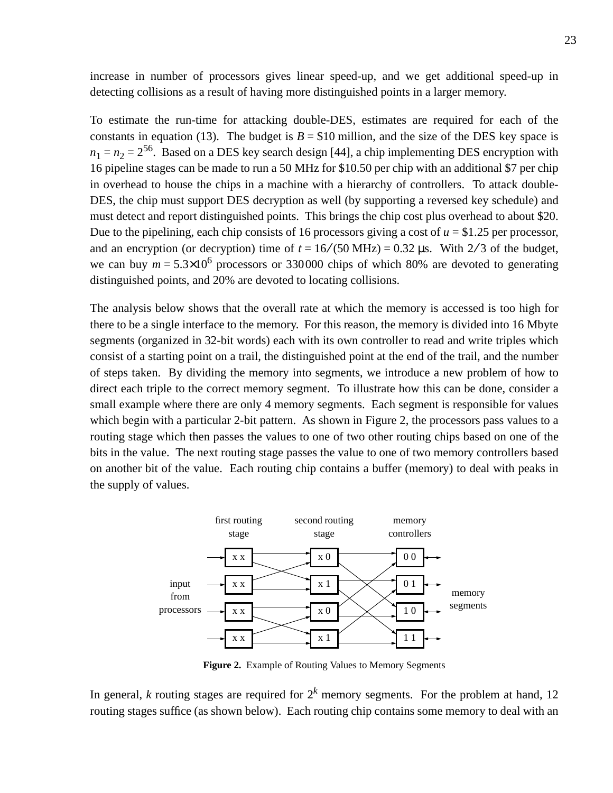increase in number of processors gives linear speed-up, and we get additional speed-up in detecting collisions as a result of having more distinguished points in a larger memory.

To estimate the run-time for attacking double-DES, estimates are required for each of the constants in equation (13). The budget is  $B = $10$  million, and the size of the DES key space is  $n_1 = n_2 = 2^{56}$ . Based on a DES key search design [44], a chip implementing DES encryption with 16 pipeline stages can be made to run a 50 MHz for \$10.50 per chip with an additional \$7 per chip in overhead to house the chips in a machine with a hierarchy of controllers. To attack double-DES, the chip must support DES decryption as well (by supporting a reversed key schedule) and must detect and report distinguished points. This brings the chip cost plus overhead to about \$20. Due to the pipelining, each chip consists of 16 processors giving a cost of  $u = $1.25$  per processor, and an encryption (or decryption) time of  $t = 16/(50 \text{ MHz}) = 0.32 \text{ \mu s}$ . With 2/3 of the budget, we can buy  $m = 5.3 \times 10^6$  processors or 330000 chips of which 80% are devoted to generating distinguished points, and 20% are devoted to locating collisions.

The analysis below shows that the overall rate at which the memory is accessed is too high for there to be a single interface to the memory. For this reason, the memory is divided into 16 Mbyte segments (organized in 32-bit words) each with its own controller to read and write triples which consist of a starting point on a trail, the distinguished point at the end of the trail, and the number of steps taken. By dividing the memory into segments, we introduce a new problem of how to direct each triple to the correct memory segment. To illustrate how this can be done, consider a small example where there are only 4 memory segments. Each segment is responsible for values which begin with a particular 2-bit pattern. As shown in Figure 2, the processors pass values to a routing stage which then passes the values to one of two other routing chips based on one of the bits in the value. The next routing stage passes the value to one of two memory controllers based on another bit of the value. Each routing chip contains a buffer (memory) to deal with peaks in the supply of values.



**Figure 2.** Example of Routing Values to Memory Segments

In general, *k* routing stages are required for  $2^k$  memory segments. For the problem at hand, 12 routing stages suffice (as shown below). Each routing chip contains some memory to deal with an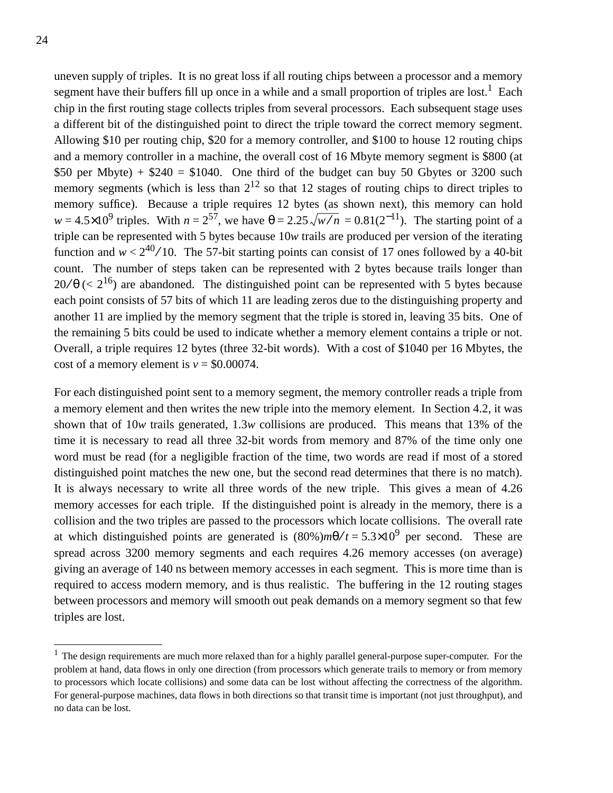uneven supply of triples. It is no great loss if all routing chips between a processor and a memory segment have their buffers fill up once in a while and a small proportion of triples are lost.<sup>1</sup> Each chip in the first routing stage collects triples from several processors. Each subsequent stage uses a different bit of the distinguished point to direct the triple toward the correct memory segment. Allowing \$10 per routing chip, \$20 for a memory controller, and \$100 to house 12 routing chips and a memory controller in a machine, the overall cost of 16 Mbyte memory segment is \$800 (at \$50 per Mbyte) +  $$240 = $1040$ . One third of the budget can buy 50 Gbytes or 3200 such memory segments (which is less than  $2^{12}$  so that 12 stages of routing chips to direct triples to memory suffice). Because a triple requires 12 bytes (as shown next), this memory can hold  $w = 4.5 \times 10^9$  triples. With  $n = 2^{57}$ , we have  $\theta = 2.25 \sqrt{w/n} = 0.81(2^{-11})$ . The starting point of a triple can be represented with 5 bytes because 10*w* trails are produced per version of the iterating function and  $w < 2^{40} / 10$ . The 57-bit starting points can consist of 17 ones followed by a 40-bit count. The number of steps taken can be represented with 2 bytes because trails longer than  $20/\theta$  (<  $2^{16}$ ) are abandoned. The distinguished point can be represented with 5 bytes because each point consists of 57 bits of which 11 are leading zeros due to the distinguishing property and another 11 are implied by the memory segment that the triple is stored in, leaving 35 bits. One of the remaining 5 bits could be used to indicate whether a memory element contains a triple or not. Overall, a triple requires 12 bytes (three 32-bit words). With a cost of \$1040 per 16 Mbytes, the cost of a memory element is  $v = $0.00074$ .

For each distinguished point sent to a memory segment, the memory controller reads a triple from a memory element and then writes the new triple into the memory element. In Section 4.2, it was shown that of 10*w* trails generated, 1.3*w* collisions are produced. This means that 13% of the time it is necessary to read all three 32-bit words from memory and 87% of the time only one word must be read (for a negligible fraction of the time, two words are read if most of a stored distinguished point matches the new one, but the second read determines that there is no match). It is always necessary to write all three words of the new triple. This gives a mean of 4.26 memory accesses for each triple. If the distinguished point is already in the memory, there is a collision and the two triples are passed to the processors which locate collisions. The overall rate at which distinguished points are generated is  $(80\%)m\theta/t = 5.3 \times 10^9$  per second. These are spread across 3200 memory segments and each requires 4.26 memory accesses (on average) giving an average of 140 ns between memory accesses in each segment. This is more time than is required to access modern memory, and is thus realistic. The buffering in the 12 routing stages between processors and memory will smooth out peak demands on a memory segment so that few triples are lost.

 $1$  The design requirements are much more relaxed than for a highly parallel general-purpose super-computer. For the problem at hand, data flows in only one direction (from processors which generate trails to memory or from memory to processors which locate collisions) and some data can be lost without affecting the correctness of the algorithm. For general-purpose machines, data flows in both directions so that transit time is important (not just throughput), and no data can be lost.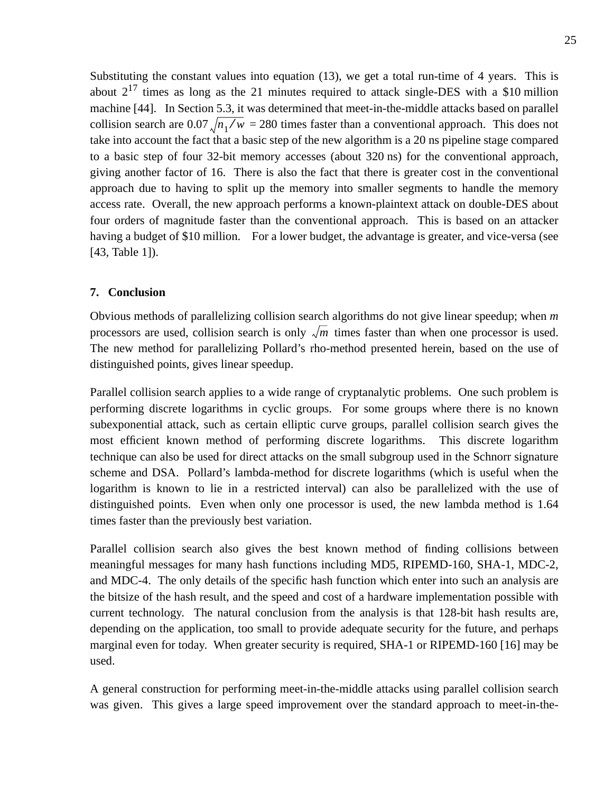Substituting the constant values into equation (13), we get a total run-time of 4 years. This is about  $2^{17}$  times as long as the 21 minutes required to attack single-DES with a \$10 million machine [44]. In Section 5.3, it was determined that meet-in-the-middle attacks based on parallel collision search are  $0.07 \sqrt{n_1 / w} = 280$  times faster than a conventional approach. This does not take into account the fact that a basic step of the new algorithm is a 20 ns pipeline stage compared to a basic step of four 32-bit memory accesses (about 320 ns) for the conventional approach, giving another factor of 16. There is also the fact that there is greater cost in the conventional approach due to having to split up the memory into smaller segments to handle the memory access rate. Overall, the new approach performs a known-plaintext attack on double-DES about four orders of magnitude faster than the conventional approach. This is based on an attacker having a budget of \$10 million. For a lower budget, the advantage is greater, and vice-versa (see [43, Table 1]).

## **7. Conclusion**

Obvious methods of parallelizing collision search algorithms do not give linear speedup; when *m* processors are used, collision search is only  $\sqrt{m}$  times faster than when one processor is used. The new method for parallelizing Pollard's rho-method presented herein, based on the use of distinguished points, gives linear speedup.

Parallel collision search applies to a wide range of cryptanalytic problems. One such problem is performing discrete logarithms in cyclic groups. For some groups where there is no known subexponential attack, such as certain elliptic curve groups, parallel collision search gives the most efficient known method of performing discrete logarithms. This discrete logarithm technique can also be used for direct attacks on the small subgroup used in the Schnorr signature scheme and DSA. Pollard's lambda-method for discrete logarithms (which is useful when the logarithm is known to lie in a restricted interval) can also be parallelized with the use of distinguished points. Even when only one processor is used, the new lambda method is 1.64 times faster than the previously best variation.

Parallel collision search also gives the best known method of finding collisions between meaningful messages for many hash functions including MD5, RIPEMD-160, SHA-1, MDC-2, and MDC-4. The only details of the specific hash function which enter into such an analysis are the bitsize of the hash result, and the speed and cost of a hardware implementation possible with current technology. The natural conclusion from the analysis is that 128-bit hash results are, depending on the application, too small to provide adequate security for the future, and perhaps marginal even for today. When greater security is required, SHA-1 or RIPEMD-160 [16] may be used.

A general construction for performing meet-in-the-middle attacks using parallel collision search was given. This gives a large speed improvement over the standard approach to meet-in-the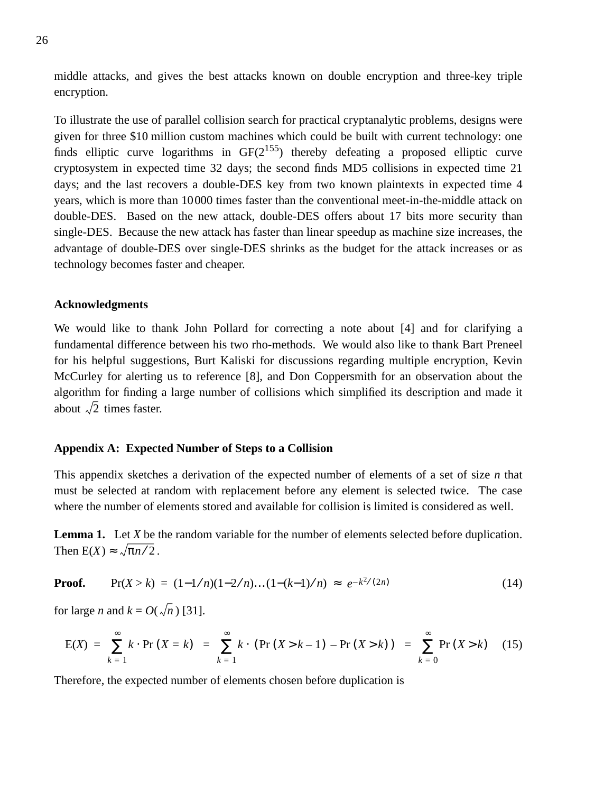middle attacks, and gives the best attacks known on double encryption and three-key triple encryption.

To illustrate the use of parallel collision search for practical cryptanalytic problems, designs were given for three \$10 million custom machines which could be built with current technology: one finds elliptic curve logarithms in  $GF(2^{155})$  thereby defeating a proposed elliptic curve cryptosystem in expected time 32 days; the second finds MD5 collisions in expected time 21 days; and the last recovers a double-DES key from two known plaintexts in expected time 4 years, which is more than 10000 times faster than the conventional meet-in-the-middle attack on double-DES. Based on the new attack, double-DES offers about 17 bits more security than single-DES. Because the new attack has faster than linear speedup as machine size increases, the advantage of double-DES over single-DES shrinks as the budget for the attack increases or as technology becomes faster and cheaper.

## **Acknowledgments**

We would like to thank John Pollard for correcting a note about [4] and for clarifying a fundamental difference between his two rho-methods. We would also like to thank Bart Preneel for his helpful suggestions, Burt Kaliski for discussions regarding multiple encryption, Kevin McCurley for alerting us to reference [8], and Don Coppersmith for an observation about the algorithm for finding a large number of collisions which simplified its description and made it about  $\sqrt{2}$  times faster.

#### **Appendix A: Expected Number of Steps to a Collision**

This appendix sketches a derivation of the expected number of elements of a set of size *n* that must be selected at random with replacement before any element is selected twice. The case where the number of elements stored and available for collision is limited is considered as well.

**Lemma 1.** Let *X* be the random variable for the number of elements selected before duplication. Then  $E(X) \approx \sqrt{\pi n/2}$ .

**Proof.** 
$$
Pr(X > k) = (1 - 1/n)(1 - 2/n)...(1 - (k-1)/n) \approx e^{-k^2/(2n)}
$$
 (14)

for large *n* and  $k = O(\sqrt{n})$  [31].

$$
E(X) = \sum_{k=1}^{\infty} k \cdot Pr(X = k) = \sum_{k=1}^{\infty} k \cdot (Pr(X > k - 1) - Pr(X > k)) = \sum_{k=0}^{\infty} Pr(X > k)
$$
 (15)

Therefore, the expected number of elements chosen before duplication is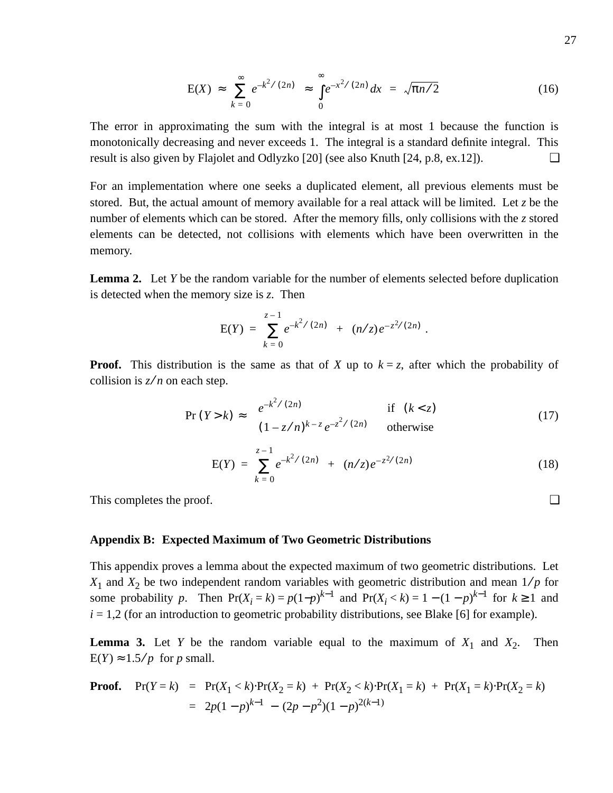$$
E(X) \approx \sum_{k=0}^{\infty} e^{-k^2/(2n)} \approx \int_{0}^{\infty} e^{-x^2/(2n)} dx = \sqrt{\pi n/2}
$$
 (16)

The error in approximating the sum with the integral is at most 1 because the function is monotonically decreasing and never exceeds 1. The integral is a standard definite integral. This result is also given by Flajolet and Odlyzko [20] (see also Knuth [24, p.8, ex.12]).  $\Box$ 

For an implementation where one seeks a duplicated element, all previous elements must be stored. But, the actual amount of memory available for a real attack will be limited. Let *z* be the number of elements which can be stored. After the memory fills, only collisions with the *z* stored elements can be detected, not collisions with elements which have been overwritten in the memory.

**Lemma 2.** Let *Y* be the random variable for the number of elements selected before duplication is detected when the memory size is *z*. Then

$$
E(Y) = \sum_{k=0}^{z-1} e^{-k^2/(2n)} + (n/z)e^{-z^2/(2n)}.
$$

**Proof.** This distribution is the same as that of *X* up to  $k = z$ , after which the probability of collision is *z*⁄ *n* on each step.

$$
\Pr(Y > k) \approx \begin{cases} e^{-k^2/(2n)} & \text{if } (k < z) \\ (1 - z/n)^{k-z} e^{-z^2/(2n)} & \text{otherwise} \end{cases}
$$
(17)

$$
E(Y) = \sum_{k=0}^{z-1} e^{-k^2/(2n)} + (n/z)e^{-z^2/(2n)}
$$
 (18)

This completes the proof.  $□$ 

#### **Appendix B: Expected Maximum of Two Geometric Distributions**

This appendix proves a lemma about the expected maximum of two geometric distributions. Let  $X_1$  and  $X_2$  be two independent random variables with geometric distribution and mean  $1/p$  for some probability *p*. Then  $Pr(X_i = k) = p(1-p)^{k-1}$  and  $Pr(X_i < k) = 1 - (1-p)^{k-1}$  for  $k \ge 1$  and  $i = 1,2$  (for an introduction to geometric probability distributions, see Blake [6] for example).

**Lemma 3.** Let *Y* be the random variable equal to the maximum of  $X_1$  and  $X_2$ . Then  $E(Y) \approx 1.5/p$  for *p* small.

**Proof.** 
$$
Pr(Y = k) = Pr(X_1 < k) \cdot Pr(X_2 = k) + Pr(X_2 < k) \cdot Pr(X_1 = k) + Pr(X_1 = k) \cdot Pr(X_2 = k)
$$

$$
= 2p(1-p)^{k-1} - (2p-p^2)(1-p)^{2(k-1)}
$$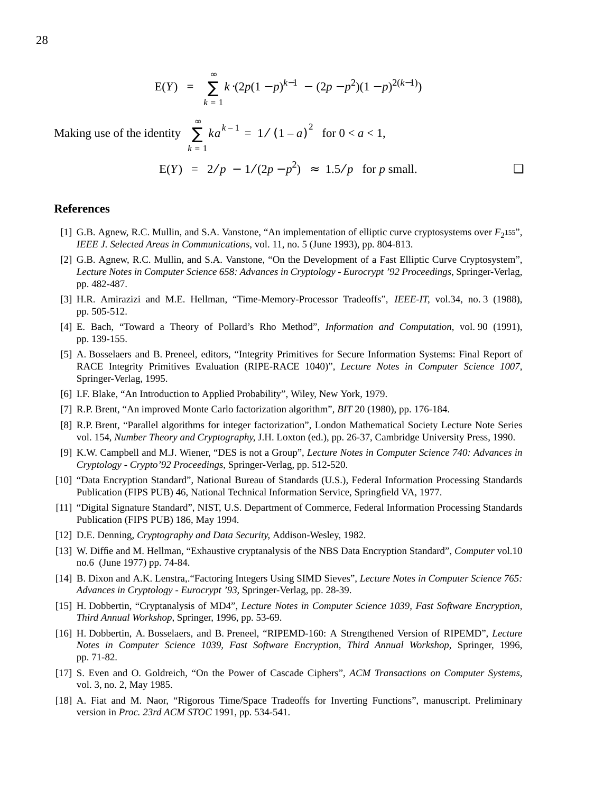$$
E(Y) = \sum_{k=1}^{\infty} k \cdot (2p(1-p)^{k-1} - (2p-p^2)(1-p)^{2(k-1)})
$$

Making use of the identity  $\sum k a^{k-1} = 1/(1-a)^2$  for  $0 < a < 1$ , *k* = 1 ∞  $\sum_{k=1}^{\infty} k a^{k-1} = 1/(1-a)^2$ 

$$
E(Y) = 2/p - 1/(2p - p^2) \approx 1.5/p
$$
 for *p* small.

#### **References**

- [1] G.B. Agnew, R.C. Mullin, and S.A. Vanstone, "An implementation of elliptic curve cryptosystems over  $F_2$ <sup>155</sup>", *IEEE J. Selected Areas in Communications*, vol. 11, no. 5 (June 1993), pp. 804-813.
- [2] G.B. Agnew, R.C. Mullin, and S.A. Vanstone, "On the Development of a Fast Elliptic Curve Cryptosystem", *Lecture Notes in Computer Science 658: Advances in Cryptology - Eurocrypt '92 Proceedings*, Springer-Verlag, pp. 482-487.
- [3] H.R. Amirazizi and M.E. Hellman, "Time-Memory-Processor Tradeoffs", *IEEE-IT*, vol.34, no. 3 (1988), pp. 505-512.
- [4] E. Bach, "Toward a Theory of Pollard's Rho Method", *Information and Computation*, vol. 90 (1991), pp. 139-155.
- [5] A. Bosselaers and B. Preneel, editors, "Integrity Primitives for Secure Information Systems: Final Report of RACE Integrity Primitives Evaluation (RIPE-RACE 1040)", *Lecture Notes in Computer Science 1007*, Springer-Verlag, 1995.
- [6] I.F. Blake, "An Introduction to Applied Probability", Wiley, New York, 1979.
- [7] R.P. Brent, "An improved Monte Carlo factorization algorithm", *BIT* 20 (1980), pp. 176-184.
- [8] R.P. Brent, "Parallel algorithms for integer factorization", London Mathematical Society Lecture Note Series vol. 154, *Number Theory and Cryptography*, J.H. Loxton (ed.), pp. 26-37, Cambridge University Press, 1990.
- [9] K.W. Campbell and M.J. Wiener, "DES is not a Group", *Lecture Notes in Computer Science 740: Advances in Cryptology - Crypto'92 Proceedings*, Springer-Verlag, pp. 512-520.
- [10] "Data Encryption Standard", National Bureau of Standards (U.S.), Federal Information Processing Standards Publication (FIPS PUB) 46, National Technical Information Service, Springfield VA, 1977.
- [11] "Digital Signature Standard", NIST, U.S. Department of Commerce, Federal Information Processing Standards Publication (FIPS PUB) 186, May 1994.
- [12] D.E. Denning, *Cryptography and Data Security*, Addison-Wesley, 1982.
- [13] W. Diffie and M. Hellman, "Exhaustive cryptanalysis of the NBS Data Encryption Standard", *Computer* vol.10 no.6 (June 1977) pp. 74-84.
- [14] B. Dixon and A.K. Lenstra,."Factoring Integers Using SIMD Sieves", *Lecture Notes in Computer Science 765: Advances in Cryptology - Eurocrypt '93*, Springer-Verlag, pp. 28-39.
- [15] H. Dobbertin, "Cryptanalysis of MD4", *Lecture Notes in Computer Science 1039, Fast Software Encryption, Third Annual Workshop*, Springer, 1996, pp. 53-69.
- [16] H. Dobbertin, A. Bosselaers, and B. Preneel, "RIPEMD-160: A Strengthened Version of RIPEMD", *Lecture Notes in Computer Science 1039, Fast Software Encryption, Third Annual Workshop*, Springer, 1996, pp. 71-82.
- [17] S. Even and O. Goldreich, "On the Power of Cascade Ciphers", *ACM Transactions on Computer Systems*, vol. 3, no. 2, May 1985.
- [18] A. Fiat and M. Naor, "Rigorous Time/Space Tradeoffs for Inverting Functions", manuscript. Preliminary version in *Proc. 23rd ACM STOC* 1991, pp. 534-541.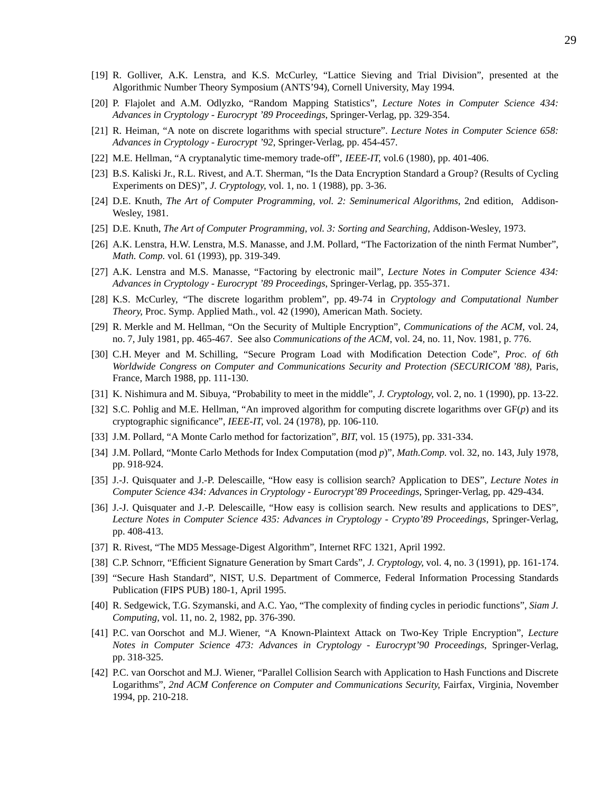- [20] P. Flajolet and A.M. Odlyzko, "Random Mapping Statistics", *Lecture Notes in Computer Science 434: Advances in Cryptology - Eurocrypt '89 Proceedings*, Springer-Verlag, pp. 329-354.
- [21] R. Heiman, "A note on discrete logarithms with special structure". *Lecture Notes in Computer Science 658: Advances in Cryptology - Eurocrypt '92*, Springer-Verlag, pp. 454-457.
- [22] M.E. Hellman, "A cryptanalytic time-memory trade-off", *IEEE-IT*, vol.6 (1980), pp. 401-406.
- [23] B.S. Kaliski Jr., R.L. Rivest, and A.T. Sherman, "Is the Data Encryption Standard a Group? (Results of Cycling Experiments on DES)", *J. Cryptology*, vol. 1, no. 1 (1988), pp. 3-36.
- [24] D.E. Knuth, *The Art of Computer Programming, vol. 2: Seminumerical Algorithms*, 2nd edition, Addison-Wesley, 1981.
- [25] D.E. Knuth, *The Art of Computer Programming, vol. 3: Sorting and Searching*, Addison-Wesley, 1973.
- [26] A.K. Lenstra, H.W. Lenstra, M.S. Manasse, and J.M. Pollard, "The Factorization of the ninth Fermat Number", *Math. Comp.* vol. 61 (1993), pp. 319-349.
- [27] A.K. Lenstra and M.S. Manasse, "Factoring by electronic mail", *Lecture Notes in Computer Science 434: Advances in Cryptology - Eurocrypt '89 Proceedings*, Springer-Verlag, pp. 355-371.
- [28] K.S. McCurley, "The discrete logarithm problem", pp. 49-74 in *Cryptology and Computational Number Theory*, Proc. Symp. Applied Math., vol. 42 (1990), American Math. Society.
- [29] R. Merkle and M. Hellman, "On the Security of Multiple Encryption", *Communications of the ACM*, vol. 24, no. 7, July 1981, pp. 465-467. See also *Communications of the ACM*, vol. 24, no. 11, Nov. 1981, p. 776.
- [30] C.H. Meyer and M. Schilling, "Secure Program Load with Modification Detection Code", *Proc. of 6th Worldwide Congress on Computer and Communications Security and Protection (SECURICOM '88)*, Paris, France, March 1988, pp. 111-130.
- [31] K. Nishimura and M. Sibuya, "Probability to meet in the middle", *J. Cryptology*, vol. 2, no. 1 (1990), pp. 13-22.
- [32] S.C. Pohlig and M.E. Hellman, "An improved algorithm for computing discrete logarithms over GF(*p*) and its cryptographic significance", *IEEE-IT*, vol. 24 (1978), pp. 106-110.
- [33] J.M. Pollard, "A Monte Carlo method for factorization", *BIT*, vol. 15 (1975), pp. 331-334.
- [34] J.M. Pollard, "Monte Carlo Methods for Index Computation (mod *p*)", *Math.Comp.* vol. 32, no. 143, July 1978, pp. 918-924.
- [35] J.-J. Quisquater and J.-P. Delescaille, "How easy is collision search? Application to DES", *Lecture Notes in Computer Science 434: Advances in Cryptology - Eurocrypt'89 Proceedings*, Springer-Verlag, pp. 429-434.
- [36] J.-J. Quisquater and J.-P. Delescaille, "How easy is collision search. New results and applications to DES", *Lecture Notes in Computer Science 435: Advances in Cryptology - Crypto'89 Proceedings*, Springer-Verlag, pp. 408-413.
- [37] R. Rivest, "The MD5 Message-Digest Algorithm", Internet RFC 1321, April 1992.
- [38] C.P. Schnorr, "Efficient Signature Generation by Smart Cards", *J. Cryptology*, vol. 4, no. 3 (1991), pp. 161-174.
- [39] "Secure Hash Standard", NIST, U.S. Department of Commerce, Federal Information Processing Standards Publication (FIPS PUB) 180-1, April 1995.
- [40] R. Sedgewick, T.G. Szymanski, and A.C. Yao, "The complexity of finding cycles in periodic functions", *Siam J. Computing*, vol. 11, no. 2, 1982, pp. 376-390.
- [41] P.C. van Oorschot and M.J. Wiener, "A Known-Plaintext Attack on Two-Key Triple Encryption", *Lecture Notes in Computer Science 473: Advances in Cryptology - Eurocrypt'90 Proceedings*, Springer-Verlag, pp. 318-325.
- [42] P.C. van Oorschot and M.J. Wiener, "Parallel Collision Search with Application to Hash Functions and Discrete Logarithms", *2nd ACM Conference on Computer and Communications Security*, Fairfax, Virginia, November 1994, pp. 210-218.